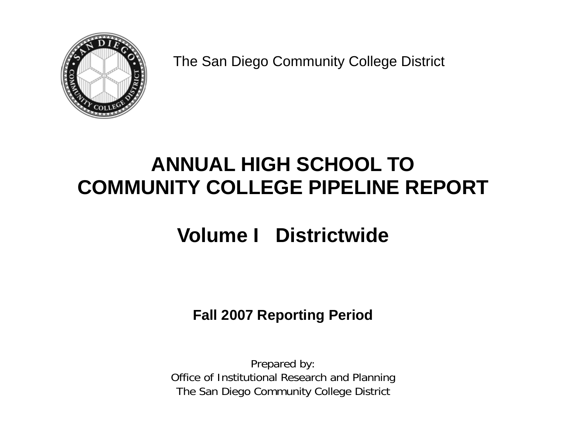

The San Diego Community College District

# **ANNUAL HIGH SCHOOL TO COMMUNITY COLLEGE PIPELINE REPORT**

# **Volume I Districtwide**

**Fall 2007 Reporting Period** 

Prepared by: Office of Institutional Research and Planning The San Diego Community College District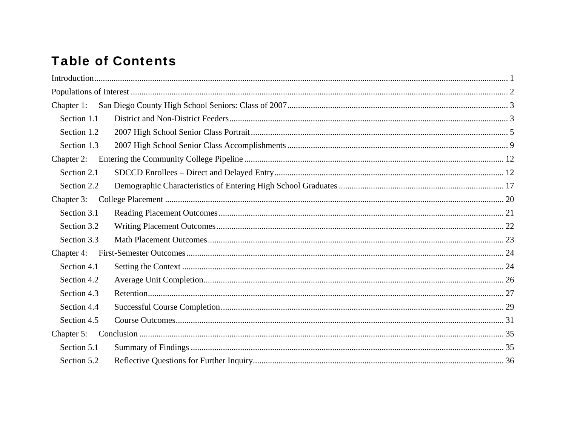# **Table of Contents**

| Chapter 1:  |  |
|-------------|--|
| Section 1.1 |  |
| Section 1.2 |  |
| Section 1.3 |  |
| Chapter 2:  |  |
| Section 2.1 |  |
| Section 2.2 |  |
| Chapter 3:  |  |
| Section 3.1 |  |
| Section 3.2 |  |
| Section 3.3 |  |
| Chapter 4:  |  |
| Section 4.1 |  |
| Section 4.2 |  |
| Section 4.3 |  |
| Section 4.4 |  |
| Section 4.5 |  |
| Chapter 5:  |  |
| Section 5.1 |  |
| Section 5.2 |  |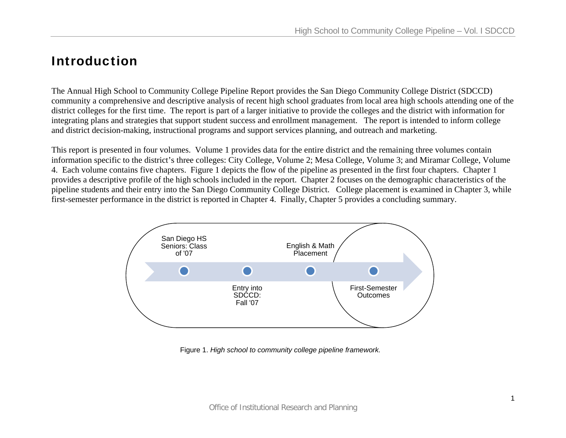# Introduction

The Annual High School to Community College Pipeline Report provides the San Diego Community College District (SDCCD) community a comprehensive and descriptive analysis of recent high school graduates from local area high schools attending one of the district colleges for the first time. The report is part of a larger initiative to provide the colleges and the district with information for integrating plans and strategies that support student success and enrollment management. The report is intended to inform college and district decision-making, instructional programs and support services planning, and outreach and marketing.

This report is presented in four volumes. Volume 1 provides data for the entire district and the remaining three volumes contain information specific to the district's three colleges: City College, Volume 2; Mesa College, Volume 3; and Miramar College, Volume 4. Each volume contains five chapters. Figure 1 depicts the flow of the pipeline as presented in the first four chapters. Chapter 1 provides a descriptive profile of the high schools included in the report. Chapter 2 focuses on the demographic characteristics of the pipeline students and their entry into the San Diego Community College District. College placement is examined in Chapter 3, while first-semester performance in the district is reported in Chapter 4. Finally, Chapter 5 provides a concluding summary.



Figure 1. *High school to community college pipeline framework.*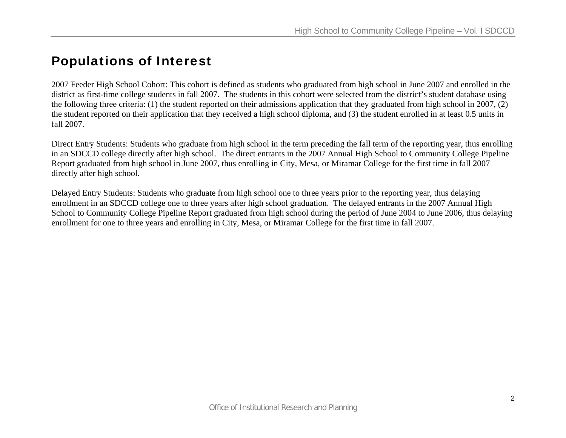# Populations of Interest

2007 Feeder High School Cohort: This cohort is defined as students who graduated from high school in June 2007 and enrolled in the district as first-time college students in fall 2007. The students in this cohort were selected from the district's student database using the following three criteria: (1) the student reported on their admissions application that they graduated from high school in 2007, (2) the student reported on their application that they received a high school diploma, and (3) the student enrolled in at least 0.5 units in fall 2007.

Direct Entry Students: Students who graduate from high school in the term preceding the fall term of the reporting year, thus enrolling in an SDCCD college directly after high school. The direct entrants in the 2007 Annual High School to Community College Pipeline Report graduated from high school in June 2007, thus enrolling in City, Mesa, or Miramar College for the first time in fall 2007 directly after high school.

Delayed Entry Students: Students who graduate from high school one to three years prior to the reporting year, thus delaying enrollment in an SDCCD college one to three years after high school graduation. The delayed entrants in the 2007 Annual High School to Community College Pipeline Report graduated from high school during the period of June 2004 to June 2006, thus delaying enrollment for one to three years and enrolling in City, Mesa, or Miramar College for the first time in fall 2007.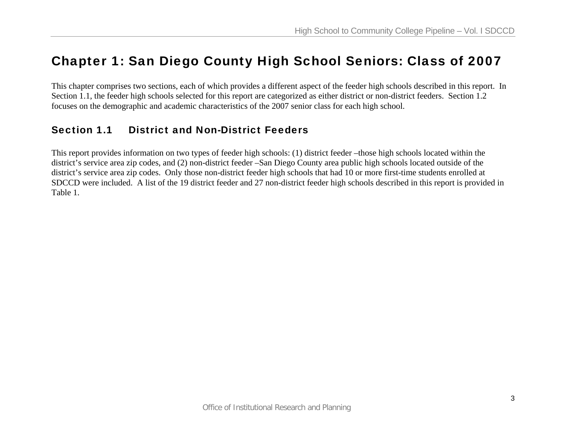# Chapter 1: San Diego County High School Seniors: Class of 2007

This chapter comprises two sections, each of which provides a different aspect of the feeder high schools described in this report. In Section 1.1, the feeder high schools selected for this report are categorized as either district or non-district feeders. Section 1.2 focuses on the demographic and academic characteristics of the 2007 senior class for each high school.

# Section 1.1 District and Non-District Feeders

This report provides information on two types of feeder high schools: (1) district feeder –those high schools located within the district's service area zip codes, and (2) non-district feeder –San Diego County area public high schools located outside of the district's service area zip codes. Only those non-district feeder high schools that had 10 or more first-time students enrolled at SDCCD were included. A list of the 19 district feeder and 27 non-district feeder high schools described in this report is provided in Table 1.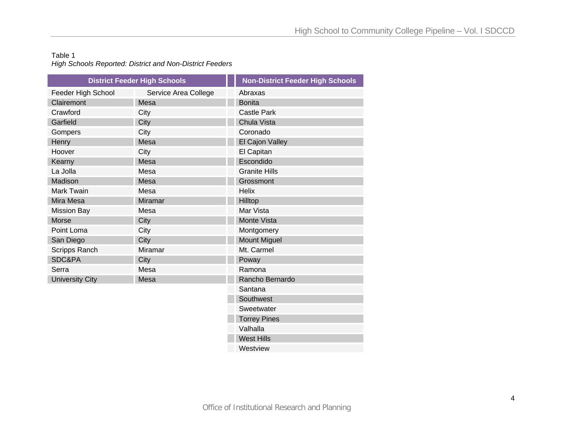### Table 1 *High Schools Reported: District and Non-District Feeders*

|                        | <b>District Feeder High Schools</b> | <b>Non-District Feeder High Schools</b> |
|------------------------|-------------------------------------|-----------------------------------------|
| Feeder High School     | Service Area College                | Abraxas                                 |
| Clairemont             | Mesa                                | <b>Bonita</b>                           |
| Crawford               | City                                | <b>Castle Park</b>                      |
| Garfield               | City                                | Chula Vista                             |
| Gompers                | City                                | Coronado                                |
| Henry                  | Mesa                                | El Cajon Valley                         |
| Hoover                 | City                                | El Capitan                              |
| Kearny                 | Mesa                                | Escondido                               |
| La Jolla               | Mesa                                | <b>Granite Hills</b>                    |
| Madison                | Mesa                                | Grossmont                               |
| <b>Mark Twain</b>      | Mesa                                | <b>Helix</b>                            |
| Mira Mesa              | <b>Miramar</b>                      | Hilltop                                 |
| <b>Mission Bay</b>     | Mesa                                | Mar Vista                               |
| <b>Morse</b>           | City                                | Monte Vista                             |
| Point Loma             | City                                | Montgomery                              |
| San Diego              | City                                | <b>Mount Miguel</b>                     |
| <b>Scripps Ranch</b>   | Miramar                             | Mt. Carmel                              |
| <b>SDC&amp;PA</b>      | City                                | Poway                                   |
| Serra                  | Mesa                                | Ramona                                  |
| <b>University City</b> | Mesa                                | Rancho Bernardo                         |
|                        |                                     | Santana                                 |
|                        |                                     | Southwest                               |
|                        |                                     | Sweetwater                              |
|                        |                                     | <b>Torrey Pines</b>                     |
|                        |                                     | Valhalla                                |
|                        |                                     | <b>West Hills</b>                       |
|                        |                                     |                                         |

**Westview**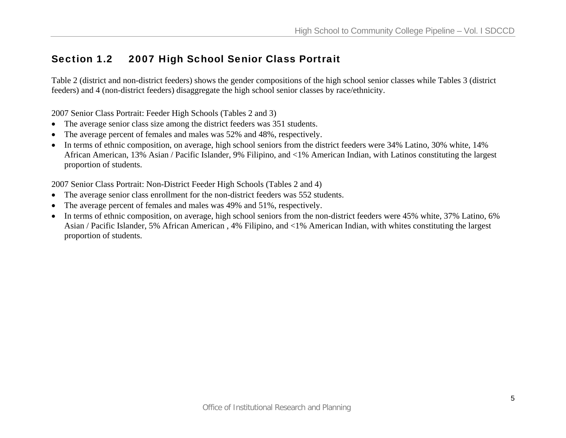# Section 1.2 2007 High School Senior Class Portrait

Table 2 (district and non-district feeders) shows the gender compositions of the high school senior classes while Tables 3 (district feeders) and 4 (non-district feeders) disaggregate the high school senior classes by race/ethnicity.

2007 Senior Class Portrait: Feeder High Schools (Tables 2 and 3)

- The average senior class size among the district feeders was 351 students.
- •The average percent of females and males was 52% and 48%, respectively.
- • In terms of ethnic composition, on average, high school seniors from the district feeders were 34% Latino, 30% white, 14% African American, 13% Asian / Pacific Islander, 9% Filipino, and <1% American Indian, with Latinos constituting the largest proportion of students.

2007 Senior Class Portrait: Non-District Feeder High Schools (Tables 2 and 4)

- The average senior class enrollment for the non-district feeders was 552 students.
- •The average percent of females and males was 49% and 51%, respectively.
- • In terms of ethnic composition, on average, high school seniors from the non-district feeders were 45% white, 37% Latino, 6% Asian / Pacific Islander, 5% African American , 4% Filipino, and <1% American Indian, with whites constituting the largest proportion of students.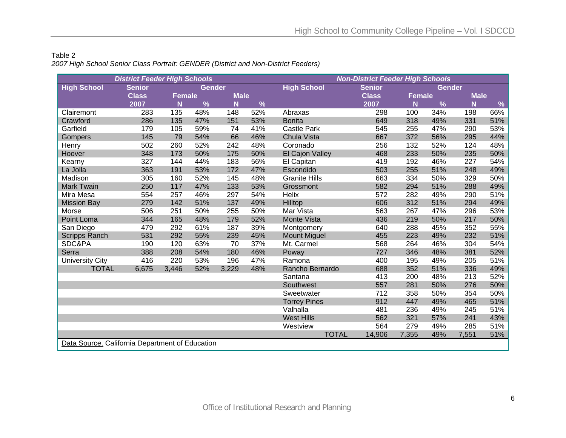| Table 2 |                                                                                    |
|---------|------------------------------------------------------------------------------------|
|         | 2007 High School Senior Class Portrait: GENDER (District and Non-District Feeders) |

|                                                 | <b>District Feeder High Schools</b> |                         |               |             |     | <b>Non-District Feeder High Schools</b> |               |                         |        |             |      |  |  |
|-------------------------------------------------|-------------------------------------|-------------------------|---------------|-------------|-----|-----------------------------------------|---------------|-------------------------|--------|-------------|------|--|--|
| <b>High School</b>                              | <b>Senior</b>                       |                         | <b>Gender</b> |             |     | <b>High School</b>                      | <b>Senior</b> |                         | Gender |             |      |  |  |
|                                                 | <b>Class</b>                        | Female                  |               | <b>Male</b> |     |                                         | <b>Class</b>  | <b>Female</b>           |        | <b>Male</b> |      |  |  |
|                                                 | 2007                                | $\overline{\mathsf{N}}$ | $\%$          | N           | %   |                                         | 2007          | $\overline{\mathsf{N}}$ | %      | N           | $\%$ |  |  |
| Clairemont                                      | 283                                 | 135                     | 48%           | 148         | 52% | Abraxas                                 | 298           | 100                     | 34%    | 198         | 66%  |  |  |
| Crawford                                        | 286                                 | 135                     | 47%           | 151         | 53% | <b>Bonita</b>                           | 649           | 318                     | 49%    | 331         | 51%  |  |  |
| Garfield                                        | 179                                 | 105                     | 59%           | 74          | 41% | <b>Castle Park</b>                      | 545           | 255                     | 47%    | 290         | 53%  |  |  |
| <b>Gompers</b>                                  | 145                                 | 79                      | 54%           | 66          | 46% | Chula Vista                             | 667           | 372                     | 56%    | 295         | 44%  |  |  |
| Henry                                           | 502                                 | 260                     | 52%           | 242         | 48% | Coronado                                | 256           | 132                     | 52%    | 124         | 48%  |  |  |
| Hoover                                          | 348                                 | 173                     | 50%           | 175         | 50% | El Cajon Valley                         | 468           | 233                     | 50%    | 235         | 50%  |  |  |
| Kearny                                          | 327                                 | 144                     | 44%           | 183         | 56% | El Capitan                              | 419           | 192                     | 46%    | 227         | 54%  |  |  |
| La Jolla                                        | 363                                 | 191                     | 53%           | 172         | 47% | Escondido                               | 503           | 255                     | 51%    | 248         | 49%  |  |  |
| Madison                                         | 305                                 | 160                     | 52%           | 145         | 48% | <b>Granite Hills</b>                    | 663           | 334                     | 50%    | 329         | 50%  |  |  |
| <b>Mark Twain</b>                               | 250                                 | 117                     | 47%           | 133         | 53% | Grossmont                               | 582           | 294                     | 51%    | 288         | 49%  |  |  |
| Mira Mesa                                       | 554                                 | 257                     | 46%           | 297         | 54% | Helix                                   | 572           | 282                     | 49%    | 290         | 51%  |  |  |
| <b>Mission Bay</b>                              | 279                                 | 142                     | 51%           | 137         | 49% | Hilltop                                 | 606           | 312                     | 51%    | 294         | 49%  |  |  |
| Morse                                           | 506                                 | 251                     | 50%           | 255         | 50% | Mar Vista                               | 563           | 267                     | 47%    | 296         | 53%  |  |  |
| Point Loma                                      | 344                                 | 165                     | 48%           | 179         | 52% | <b>Monte Vista</b>                      | 436           | 219                     | 50%    | 217         | 50%  |  |  |
| San Diego                                       | 479                                 | 292                     | 61%           | 187         | 39% | Montgomery                              | 640           | 288                     | 45%    | 352         | 55%  |  |  |
| <b>Scripps Ranch</b>                            | 531                                 | 292                     | 55%           | 239         | 45% | <b>Mount Miguel</b>                     | 455           | 223                     | 49%    | 232         | 51%  |  |  |
| SDC&PA                                          | 190                                 | 120                     | 63%           | 70          | 37% | Mt. Carmel                              | 568           | 264                     | 46%    | 304         | 54%  |  |  |
| Serra                                           | 388                                 | 208                     | 54%           | 180         | 46% | Poway                                   | 727           | 346                     | 48%    | 381         | 52%  |  |  |
| <b>University City</b>                          | 416                                 | 220                     | 53%           | 196         | 47% | Ramona                                  | 400           | 195                     | 49%    | 205         | 51%  |  |  |
| <b>TOTAL</b>                                    | 6,675                               | 3,446                   | 52%           | 3,229       | 48% | Rancho Bernardo                         | 688           | 352                     | 51%    | 336         | 49%  |  |  |
|                                                 |                                     |                         |               |             |     | Santana                                 | 413           | 200                     | 48%    | 213         | 52%  |  |  |
|                                                 |                                     |                         |               |             |     | Southwest                               | 557           | 281                     | 50%    | 276         | 50%  |  |  |
|                                                 |                                     |                         |               |             |     | Sweetwater                              | 712           | 358                     | 50%    | 354         | 50%  |  |  |
|                                                 |                                     |                         |               |             |     | <b>Torrey Pines</b>                     | 912           | 447                     | 49%    | 465         | 51%  |  |  |
|                                                 |                                     |                         |               |             |     | Valhalla                                | 481           | 236                     | 49%    | 245         | 51%  |  |  |
|                                                 |                                     |                         |               |             |     | <b>West Hills</b>                       | 562           | 321                     | 57%    | 241         | 43%  |  |  |
|                                                 |                                     |                         |               |             |     | Westview                                | 564           | 279                     | 49%    | 285         | 51%  |  |  |
|                                                 |                                     |                         |               |             |     | <b>TOTAL</b>                            | 14,906        | 7,355                   | 49%    | 7,551       | 51%  |  |  |
| Data Source. California Department of Education |                                     |                         |               |             |     |                                         |               |                         |        |             |      |  |  |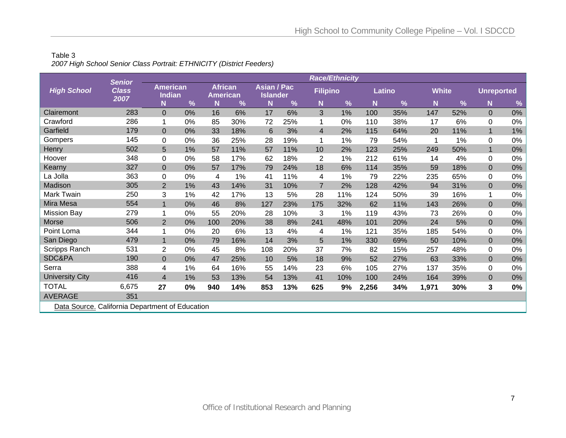### Table 3 *2007 High School Senior Class Portrait: ETHNICITY (District Feeders)*

|                                                 | <b>Senior</b>        |                                  |    |                                   |     |                                       |     |                 | <b>Race/Ethnicity</b> |       |        |              |     |                   |       |
|-------------------------------------------------|----------------------|----------------------------------|----|-----------------------------------|-----|---------------------------------------|-----|-----------------|-----------------------|-------|--------|--------------|-----|-------------------|-------|
| <b>High School</b>                              | <b>Class</b><br>2007 | <b>American</b><br><b>Indian</b> |    | <b>African</b><br><b>American</b> |     | <b>Asian / Pac</b><br><b>Islander</b> |     | <b>Filipino</b> |                       |       | Latino | <b>White</b> |     | <b>Unreported</b> |       |
|                                                 |                      | N                                | %  | N                                 | %   | N                                     | %   | N               | $\frac{9}{6}$         | N     | %      | N            | %   | N                 | %     |
| Clairemont                                      | 283                  | $\Omega$                         | 0% | 16                                | 6%  | 17                                    | 6%  | 3               | 1%                    | 100   | 35%    | 147          | 52% | $\mathbf{0}$      | $0\%$ |
| Crawford                                        | 286                  |                                  | 0% | 85                                | 30% | 72                                    | 25% |                 | 0%                    | 110   | 38%    | 17           | 6%  | 0                 | 0%    |
| Garfield                                        | 179                  | $\Omega$                         | 0% | 33                                | 18% | 6                                     | 3%  | $\overline{4}$  | 2%                    | 115   | 64%    | 20           | 11% | $\mathbf 1$       | $1\%$ |
| Gompers                                         | 145                  | 0                                | 0% | 36                                | 25% | 28                                    | 19% | 1               | 1%                    | 79    | 54%    |              | 1%  | $\Omega$          | 0%    |
| Henry                                           | 502                  | 5                                | 1% | 57                                | 11% | 57                                    | 11% | 10              | 2%                    | 123   | 25%    | 249          | 50% |                   | $0\%$ |
| Hoover                                          | 348                  | 0                                | 0% | 58                                | 17% | 62                                    | 18% | $\overline{2}$  | 1%                    | 212   | 61%    | 14           | 4%  | $\mathbf 0$       | $0\%$ |
| Kearny                                          | 327                  | $\overline{0}$                   | 0% | 57                                | 17% | 79                                    | 24% | 18              | 6%                    | 114   | 35%    | 59           | 18% | $\mathbf{0}$      | $0\%$ |
| La Jolla                                        | 363                  | 0                                | 0% | 4                                 | 1%  | 41                                    | 11% | 4               | 1%                    | 79    | 22%    | 235          | 65% | $\mathbf 0$       | $0\%$ |
| Madison                                         | 305                  | $\overline{2}$                   | 1% | 43                                | 14% | 31                                    | 10% | $\overline{7}$  | 2%                    | 128   | 42%    | 94           | 31% | $\overline{0}$    | $0\%$ |
| <b>Mark Twain</b>                               | 250                  | 3                                | 1% | 42                                | 17% | 13                                    | 5%  | 28              | 11%                   | 124   | 50%    | 39           | 16% | 1                 | 0%    |
| Mira Mesa                                       | 554                  | $\mathbf{1}$                     | 0% | 46                                | 8%  | 127                                   | 23% | 175             | 32%                   | 62    | 11%    | 143          | 26% | $\overline{0}$    | $0\%$ |
| <b>Mission Bay</b>                              | 279                  |                                  | 0% | 55                                | 20% | 28                                    | 10% | 3               | 1%                    | 119   | 43%    | 73           | 26% | $\mathbf 0$       | $0\%$ |
| Morse                                           | 506                  | 2                                | 0% | 100                               | 20% | 38                                    | 8%  | 241             | 48%                   | 101   | 20%    | 24           | 5%  | $\overline{0}$    | $0\%$ |
| Point Loma                                      | 344                  |                                  | 0% | 20                                | 6%  | 13                                    | 4%  | 4               | 1%                    | 121   | 35%    | 185          | 54% | $\Omega$          | 0%    |
| San Diego                                       | 479                  | $\mathbf 1$                      | 0% | 79                                | 16% | 14                                    | 3%  | 5               | 1%                    | 330   | 69%    | 50           | 10% | $\overline{0}$    | $0\%$ |
| Scripps Ranch                                   | 531                  | 2                                | 0% | 45                                | 8%  | 108                                   | 20% | 37              | 7%                    | 82    | 15%    | 257          | 48% | 0                 | 0%    |
| SDC&PA                                          | 190                  | $\overline{0}$                   | 0% | 47                                | 25% | 10                                    | 5%  | 18              | 9%                    | 52    | 27%    | 63           | 33% | $\overline{0}$    | $0\%$ |
| Serra                                           | 388                  | 4                                | 1% | 64                                | 16% | 55                                    | 14% | 23              | 6%                    | 105   | 27%    | 137          | 35% | 0                 | $0\%$ |
| <b>University City</b>                          | 416                  | $\overline{4}$                   | 1% | 53                                | 13% | 54                                    | 13% | 41              | 10%                   | 100   | 24%    | 164          | 39% | $\mathbf 0$       | $0\%$ |
| <b>TOTAL</b>                                    | 6,675                | 27                               | 0% | 940                               | 14% | 853                                   | 13% | 625             | 9%                    | 2,256 | 34%    | 1,971        | 30% | 3                 | $0\%$ |
| <b>AVERAGE</b>                                  | 351                  |                                  |    |                                   |     |                                       |     |                 |                       |       |        |              |     |                   |       |
| Data Source. California Department of Education |                      |                                  |    |                                   |     |                                       |     |                 |                       |       |        |              |     |                   |       |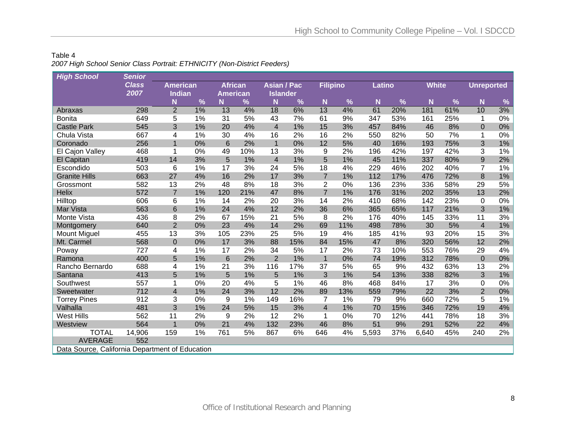### Table 4 *2007 High School Senior Class Portrait: ETHNICITY (Non-District Feeders)*

| <b>High School</b>                              | <b>Senior</b> |                         |    |                 |     |                         |     |                 |     |        |     |              |               |                   |       |
|-------------------------------------------------|---------------|-------------------------|----|-----------------|-----|-------------------------|-----|-----------------|-----|--------|-----|--------------|---------------|-------------------|-------|
|                                                 | <b>Class</b>  | <b>American</b>         |    | <b>African</b>  |     | <b>Asian / Pac</b>      |     | <b>Filipino</b> |     | Latino |     | <b>White</b> |               | <b>Unreported</b> |       |
|                                                 | 2007          | Indian                  |    | <b>American</b> |     | <b>Islander</b>         |     |                 |     |        |     |              |               |                   |       |
|                                                 |               | N                       | %  | N               | %   | N                       | %   | N               | %   | N      | %   | N            | $\frac{9}{6}$ | N                 | %     |
| Abraxas                                         | 298           | $\overline{2}$          | 1% | 13              | 4%  | 18                      | 6%  | 13              | 4%  | 61     | 20% | 181          | 61%           | 10                | 3%    |
| <b>Bonita</b>                                   | 649           | 5                       | 1% | 31              | 5%  | 43                      | 7%  | 61              | 9%  | 347    | 53% | 161          | 25%           | 1                 | $0\%$ |
| <b>Castle Park</b>                              | 545           | 3                       | 1% | 20              | 4%  | $\overline{\mathbf{4}}$ | 1%  | 15              | 3%  | 457    | 84% | 46           | 8%            | $\mathbf 0$       | 0%    |
| Chula Vista                                     | 667           | 4                       | 1% | 30              | 4%  | 16                      | 2%  | 16              | 2%  | 550    | 82% | 50           | 7%            | 1                 | 0%    |
| Coronado                                        | 256           | 1                       | 0% | $6\phantom{1}6$ | 2%  | $\overline{1}$          | 0%  | 12              | 5%  | 40     | 16% | 193          | 75%           | 3                 | $1\%$ |
| El Cajon Valley                                 | 468           | 1                       | 0% | 49              | 10% | 13                      | 3%  | 9               | 2%  | 196    | 42% | 197          | 42%           | 3                 | 1%    |
| El Capitan                                      | 419           | 14                      | 3% | 5               | 1%  | $\overline{4}$          | 1%  | 5               | 1%  | 45     | 11% | 337          | 80%           | 9                 | 2%    |
| Escondido                                       | 503           | 6                       | 1% | 17              | 3%  | 24                      | 5%  | 18              | 4%  | 229    | 46% | 202          | 40%           | $\overline{7}$    | $1\%$ |
| <b>Granite Hills</b>                            | 663           | 27                      | 4% | 16              | 2%  | 17                      | 3%  | $\overline{7}$  | 1%  | 112    | 17% | 476          | 72%           | $\bf 8$           | 1%    |
| Grossmont                                       | 582           | 13                      | 2% | 48              | 8%  | 18                      | 3%  | $\overline{2}$  | 0%  | 136    | 23% | 336          | 58%           | 29                | 5%    |
| Helix                                           | 572           | $\overline{7}$          | 1% | 120             | 21% | 47                      | 8%  | $\overline{7}$  | 1%  | 176    | 31% | 202          | 35%           | 13                | 2%    |
| Hilltop                                         | 606           | 6                       | 1% | 14              | 2%  | 20                      | 3%  | 14              | 2%  | 410    | 68% | 142          | 23%           | 0                 | 0%    |
| Mar Vista                                       | 563           | 6                       | 1% | 24              | 4%  | 12                      | 2%  | 36              | 6%  | 365    | 65% | 117          | 21%           | 3                 | $1\%$ |
| Monte Vista                                     | 436           | 8                       | 2% | 67              | 15% | 21                      | 5%  | 8               | 2%  | 176    | 40% | 145          | 33%           | 11                | 3%    |
| Montgomery                                      | 640           | $\overline{2}$          | 0% | 23              | 4%  | 14                      | 2%  | 69              | 11% | 498    | 78% | 30           | 5%            | $\overline{4}$    | $1\%$ |
| <b>Mount Miguel</b>                             | 455           | 13                      | 3% | 105             | 23% | 25                      | 5%  | 19              | 4%  | 185    | 41% | 93           | 20%           | 15                | 3%    |
| Mt. Carmel                                      | 568           | $\pmb{0}$               | 0% | 17              | 3%  | 88                      | 15% | 84              | 15% | 47     | 8%  | 320          | 56%           | 12                | 2%    |
| Poway                                           | 727           | 4                       | 1% | 17              | 2%  | 34                      | 5%  | 17              | 2%  | 73     | 10% | 553          | 76%           | 29                | 4%    |
| Ramona                                          | 400           | 5                       | 1% | $6\phantom{1}6$ | 2%  | $\overline{2}$          | 1%  | $\mathbf{1}$    | 0%  | 74     | 19% | 312          | 78%           | $\mathbf 0$       | $0\%$ |
| Rancho Bernardo                                 | 688           | 4                       | 1% | 21              | 3%  | 116                     | 17% | 37              | 5%  | 65     | 9%  | 432          | 63%           | 13                | 2%    |
| Santana                                         | 413           | 5                       | 1% | 5               | 1%  | 5                       | 1%  | 3               | 1%  | 54     | 13% | 338          | 82%           | $\mathfrak{S}$    | 1%    |
| Southwest                                       | 557           |                         | 0% | 20              | 4%  | 5                       | 1%  | 46              | 8%  | 468    | 84% | 17           | 3%            | 0                 | 0%    |
| Sweetwater                                      | 712           | $\overline{\mathbf{4}}$ | 1% | 24              | 3%  | 12                      | 2%  | 89              | 13% | 559    | 79% | 22           | 3%            | $\overline{2}$    | $0\%$ |
| <b>Torrey Pines</b>                             | 912           | 3                       | 0% | 9               | 1%  | 149                     | 16% | 7               | 1%  | 79     | 9%  | 660          | 72%           | 5                 | 1%    |
| Valhalla                                        | 481           | 3                       | 1% | 24              | 5%  | 15                      | 3%  | $\overline{4}$  | 1%  | 70     | 15% | 346          | 72%           | 19                | 4%    |
| <b>West Hills</b>                               | 562           | 11                      | 2% | 9               | 2%  | 12                      | 2%  | 1               | 0%  | 70     | 12% | 441          | 78%           | 18                | 3%    |
| Westview                                        | 564           | $\overline{1}$          | 0% | 21              | 4%  | 132                     | 23% | 46              | 8%  | 51     | 9%  | 291          | 52%           | 22                | 4%    |
| <b>TOTAL</b>                                    | 14,906        | 159                     | 1% | 761             | 5%  | 867                     | 6%  | 646             | 4%  | 5,593  | 37% | 6,640        | 45%           | 240               | 2%    |
| <b>AVERAGE</b>                                  | 552           |                         |    |                 |     |                         |     |                 |     |        |     |              |               |                   |       |
| Data Source. California Department of Education |               |                         |    |                 |     |                         |     |                 |     |        |     |              |               |                   |       |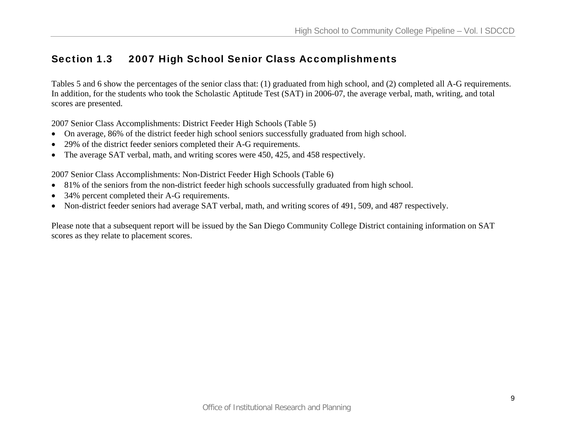### Section 1.3 2007 High School Senior Class Accomplishments

Tables 5 and 6 show the percentages of the senior class that: (1) graduated from high school, and (2) completed all A-G requirements. In addition, for the students who took the Scholastic Aptitude Test (SAT) in 2006-07, the average verbal, math, writing, and total scores are presented.

2007 Senior Class Accomplishments: District Feeder High Schools (Table 5)

- On average, 86% of the district feeder high school seniors successfully graduated from high school.
- •29% of the district feeder seniors completed their A-G requirements.
- The average SAT verbal, math, and writing scores were 450, 425, and 458 respectively.

2007 Senior Class Accomplishments: Non-District Feeder High Schools (Table 6)

- 81% of the seniors from the non-district feeder high schools successfully graduated from high school.
- •34% percent completed their A-G requirements.
- •Non-district feeder seniors had average SAT verbal, math, and writing scores of 491, 509, and 487 respectively.

Please note that a subsequent report will be issued by the San Diego Community College District containing information on SAT scores as they relate to placement scores.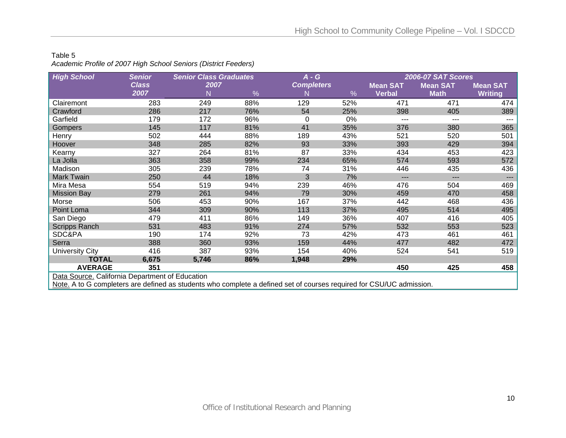#### Table 5

*Academic Profile of 2007 High School Seniors (District Feeders)* 

| <b>High School</b>                                                                                                   | <b>Senior</b> | <b>Senior Class Graduates</b> |     | $A - G$           |      | <b>2006-07 SAT Scores</b> |                 |                 |  |  |
|----------------------------------------------------------------------------------------------------------------------|---------------|-------------------------------|-----|-------------------|------|---------------------------|-----------------|-----------------|--|--|
|                                                                                                                      | <b>Class</b>  | 2007                          |     | <b>Completers</b> |      | <b>Mean SAT</b>           | <b>Mean SAT</b> | <b>Mean SAT</b> |  |  |
|                                                                                                                      | 2007          | N                             | %   | N                 | $\%$ | <b>Verbal</b>             | <b>Math</b>     | <b>Writing</b>  |  |  |
| Clairemont                                                                                                           | 283           | 249                           | 88% | 129               | 52%  | 471                       | 471             | 474             |  |  |
| Crawford                                                                                                             | 286           | 217                           | 76% | 54                | 25%  | 398                       | 405             | 389             |  |  |
| Garfield                                                                                                             | 179           | 172                           | 96% | $\Omega$          | 0%   | ---                       | $---$           | ---             |  |  |
| <b>Gompers</b>                                                                                                       | 145           | 117                           | 81% | 41                | 35%  | 376                       | 380             | 365             |  |  |
| Henry                                                                                                                | 502           | 444                           | 88% | 189               | 43%  | 521                       | 520             | 501             |  |  |
| Hoover                                                                                                               | 348           | 285                           | 82% | 93                | 33%  | 393                       | 429             | 394             |  |  |
| Kearny                                                                                                               | 327           | 264                           | 81% | 87                | 33%  | 434                       | 453             | 423             |  |  |
| La Jolla                                                                                                             | 363           | 358                           | 99% | 234               | 65%  | 574                       | 593             | 572             |  |  |
| Madison                                                                                                              | 305           | 239                           | 78% | 74                | 31%  | 446                       | 435             | 436             |  |  |
| <b>Mark Twain</b>                                                                                                    | 250           | 44                            | 18% | 3                 | 7%   | ---                       | $---$           | ---             |  |  |
| Mira Mesa                                                                                                            | 554           | 519                           | 94% | 239               | 46%  | 476                       | 504             | 469             |  |  |
| <b>Mission Bay</b>                                                                                                   | 279           | 261                           | 94% | 79                | 30%  | 459                       | 470             | 458             |  |  |
| Morse                                                                                                                | 506           | 453                           | 90% | 167               | 37%  | 442                       | 468             | 436             |  |  |
| Point Loma                                                                                                           | 344           | 309                           | 90% | 113               | 37%  | 495                       | 514             | 495             |  |  |
| San Diego                                                                                                            | 479           | 411                           | 86% | 149               | 36%  | 407                       | 416             | 405             |  |  |
| <b>Scripps Ranch</b>                                                                                                 | 531           | 483                           | 91% | 274               | 57%  | 532                       | 553             | 523             |  |  |
| SDC&PA                                                                                                               | 190           | 174                           | 92% | 73                | 42%  | 473                       | 461             | 461             |  |  |
| Serra                                                                                                                | 388           | 360                           | 93% | 159               | 44%  | 477                       | 482             | 472             |  |  |
| <b>University City</b>                                                                                               | 416           | 387                           | 93% | 154               | 40%  | 524                       | 541             | 519             |  |  |
| <b>TOTAL</b>                                                                                                         | 6,675         | 5,746                         | 86% | 1,948             | 29%  |                           |                 |                 |  |  |
| <b>AVERAGE</b>                                                                                                       | 351           |                               |     |                   |      | 450                       | 425             | 458             |  |  |
| Data Source. California Department of Education                                                                      |               |                               |     |                   |      |                           |                 |                 |  |  |
| Note. A to G completers are defined as students who complete a defined set of courses required for CSU/UC admission. |               |                               |     |                   |      |                           |                 |                 |  |  |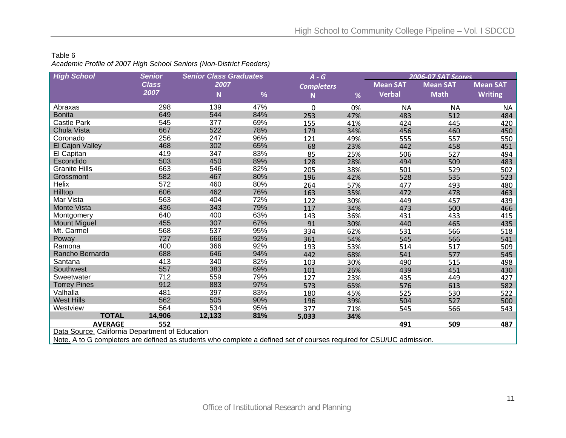#### Table 6 *Academic Profile of 2007 High School Seniors (Non-District Feeders)*

| <b>High School</b>                                                                                                   | <b>Senior</b> | <b>Senior Class Graduates</b> |               | $A - G$           |     | <b>2006-07 SAT Scores</b> |                 |                 |  |  |
|----------------------------------------------------------------------------------------------------------------------|---------------|-------------------------------|---------------|-------------------|-----|---------------------------|-----------------|-----------------|--|--|
|                                                                                                                      | <b>Class</b>  | 2007                          |               | <b>Completers</b> |     | <b>Mean SAT</b>           | <b>Mean SAT</b> | <b>Mean SAT</b> |  |  |
|                                                                                                                      | 2007          | N                             | $\frac{9}{6}$ | N                 | %   | <b>Verbal</b>             | <b>Math</b>     | <b>Writing</b>  |  |  |
| Abraxas                                                                                                              | 298           | 139                           | 47%           | 0                 | 0%  | <b>NA</b>                 | <b>NA</b>       | <b>NA</b>       |  |  |
| <b>Bonita</b>                                                                                                        | 649           | 544                           | 84%           | 253               | 47% | 483                       | 512             | 484             |  |  |
| <b>Castle Park</b>                                                                                                   | 545           | 377                           | 69%           | 155               | 41% | 424                       | 445             | 420             |  |  |
| Chula Vista                                                                                                          | 667           | 522                           | 78%           | 179               | 34% | 456                       | 460             | 450             |  |  |
| Coronado                                                                                                             | 256           | 247                           | 96%           | 121               | 49% | 555                       | 557             | 550             |  |  |
| El Cajon Valley                                                                                                      | 468           | 302                           | 65%           | 68                | 23% | 442                       | 458             | 451             |  |  |
| El Capitan                                                                                                           | 419           | 347                           | 83%           | 85                | 25% | 506                       | 527             | 494             |  |  |
| Escondido                                                                                                            | 503           | 450                           | 89%           | 128               | 28% | 494                       | 509             | 483             |  |  |
| <b>Granite Hills</b>                                                                                                 | 663           | 546                           | 82%           | 205               | 38% | 501                       | 529             | 502             |  |  |
| Grossmont                                                                                                            | 582           | 467                           | 80%           | 196               | 42% | 528                       | 535             | 523             |  |  |
| Helix                                                                                                                | 572           | 460                           | 80%           | 264               | 57% | 477                       | 493             | 480             |  |  |
| Hilltop                                                                                                              | 606           | 462                           | 76%           | 163               | 35% | 472                       | 478             | 463             |  |  |
| Mar Vista                                                                                                            | 563           | 404                           | 72%           | 122               | 30% | 449                       | 457             | 439             |  |  |
| Monte Vista                                                                                                          | 436           | 343                           | 79%           | 117               | 34% | 473                       | 500             | 466             |  |  |
| Montgomery                                                                                                           | 640           | 400                           | 63%           | 143               | 36% | 431                       | 433             | 415             |  |  |
| <b>Mount Miguel</b>                                                                                                  | 455           | 307                           | 67%           | 91                | 30% | 440                       | 465             | 435             |  |  |
| Mt. Carmel                                                                                                           | 568           | 537                           | 95%           | 334               | 62% | 531                       | 566             | 518             |  |  |
| Poway                                                                                                                | 727           | 666                           | 92%           | 361               | 54% | 545                       | 566             | 541             |  |  |
| Ramona                                                                                                               | 400           | 366                           | 92%           | 193               | 53% | 514                       | 517             | 509             |  |  |
| Rancho Bernardo                                                                                                      | 688           | 646                           | 94%           | 442               | 68% | 541                       | 577             | 545             |  |  |
| Santana                                                                                                              | 413           | 340                           | 82%           | 103               | 30% | 490                       | 515             | 498             |  |  |
| Southwest                                                                                                            | 557           | 383                           | 69%           | 101               | 26% | 439                       | 451             | 430             |  |  |
| Sweetwater                                                                                                           | 712           | 559                           | 79%           | 127               | 23% | 435                       | 449             | 427             |  |  |
| <b>Torrey Pines</b>                                                                                                  | 912           | 883                           | 97%           | 573               | 65% | 576                       | 613             | 582             |  |  |
| Valhalla                                                                                                             | 481           | 397                           | 83%           | 180               | 45% | 525                       | 530             | 522             |  |  |
| <b>West Hills</b>                                                                                                    | 562           | 505                           | 90%           | 196               | 39% | 504                       | 527             | 500             |  |  |
| Westview                                                                                                             | 564           | 534                           | 95%           | 377               | 71% | 545                       | 566             | 543             |  |  |
| <b>TOTAL</b>                                                                                                         | 14,906        | 12,133                        | 81%           | 5,033             | 34% |                           |                 |                 |  |  |
| <b>AVERAGE</b>                                                                                                       | 552           |                               |               |                   |     | 491                       | 509             | 487             |  |  |
| Data Source. California Department of Education                                                                      |               |                               |               |                   |     |                           |                 |                 |  |  |
| Note. A to G completers are defined as students who complete a defined set of courses required for CSU/UC admission. |               |                               |               |                   |     |                           |                 |                 |  |  |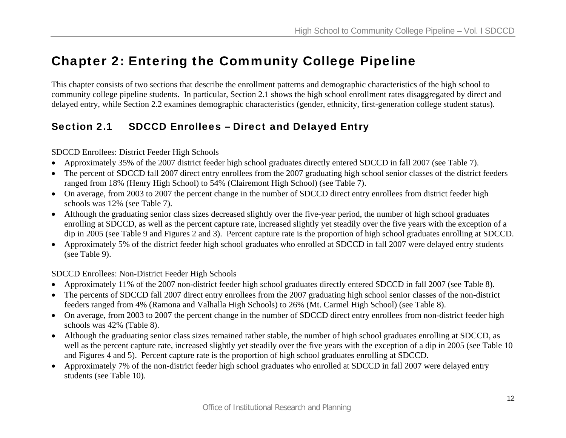# Chapter 2: Entering the Community College Pipeline

This chapter consists of two sections that describe the enrollment patterns and demographic characteristics of the high school to community college pipeline students. In particular, Section 2.1 shows the high school enrollment rates disaggregated by direct and delayed entry, while Section 2.2 examines demographic characteristics (gender, ethnicity, first-generation college student status).

# Section 2.1 SDCCD Enrollees – Direct and Delayed Entry

SDCCD Enrollees: District Feeder High Schools

- •Approximately 35% of the 2007 district feeder high school graduates directly entered SDCCD in fall 2007 (see Table 7).
- The percent of SDCCD fall 2007 direct entry enrollees from the 2007 graduating high school senior classes of the district feeders ranged from 18% (Henry High School) to 54% (Clairemont High School) (see Table 7).
- On average, from 2003 to 2007 the percent change in the number of SDCCD direct entry enrollees from district feeder high schools was 12% (see Table 7).
- Although the graduating senior class sizes decreased slightly over the five-year period, the number of high school graduates enrolling at SDCCD, as well as the percent capture rate, increased slightly yet steadily over the five years with the exception of a dip in 2005 (see Table 9 and Figures 2 and 3). Percent capture rate is the proportion of high school graduates enrolling at SDCCD.
- Approximately 5% of the district feeder high school graduates who enrolled at SDCCD in fall 2007 were delayed entry students (see Table 9).

SDCCD Enrollees: Non-District Feeder High Schools

- •Approximately 11% of the 2007 non-district feeder high school graduates directly entered SDCCD in fall 2007 (see Table 8).
- The percents of SDCCD fall 2007 direct entry enrollees from the 2007 graduating high school senior classes of the non-district feeders ranged from 4% (Ramona and Valhalla High Schools) to 26% (Mt. Carmel High School) (see Table 8).
- On average, from 2003 to 2007 the percent change in the number of SDCCD direct entry enrollees from non-district feeder high schools was 42% (Table 8).
- Although the graduating senior class sizes remained rather stable, the number of high school graduates enrolling at SDCCD, as well as the percent capture rate, increased slightly yet steadily over the five years with the exception of a dip in 2005 (see Table 10 and Figures 4 and 5). Percent capture rate is the proportion of high school graduates enrolling at SDCCD.
- Approximately 7% of the non-district feeder high school graduates who enrolled at SDCCD in fall 2007 were delayed entry students (see Table 10).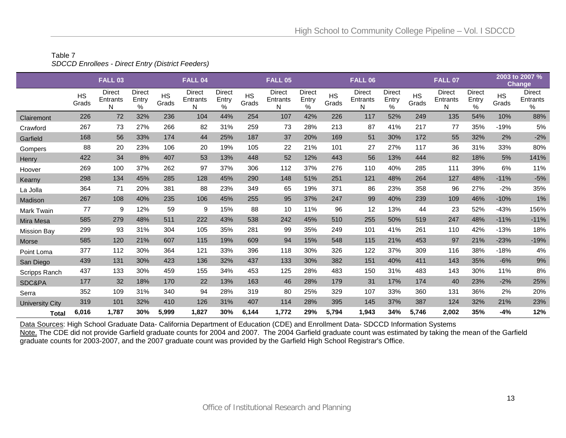### Table 7 *SDCCD Enrollees - Direct Entry (District Feeders)*

|                        |                    | <b>FALL 03</b>                 |                             |                    | <b>FALL 04</b>          |                             |                    | FALL 05                        |                                |                    | FALL 06                 |                             |                    | FALL 07                        |                             |                    | 2003 to 2007 %<br>Change       |
|------------------------|--------------------|--------------------------------|-----------------------------|--------------------|-------------------------|-----------------------------|--------------------|--------------------------------|--------------------------------|--------------------|-------------------------|-----------------------------|--------------------|--------------------------------|-----------------------------|--------------------|--------------------------------|
|                        | <b>HS</b><br>Grads | <b>Direct</b><br>Entrants<br>N | <b>Direct</b><br>Entry<br>% | <b>HS</b><br>Grads | Direct<br>Entrants<br>N | <b>Direct</b><br>Entry<br>% | <b>HS</b><br>Grads | <b>Direct</b><br>Entrants<br>N | <b>Direct</b><br>Entry<br>$\%$ | <b>HS</b><br>Grads | Direct<br>Entrants<br>N | <b>Direct</b><br>Entry<br>% | <b>HS</b><br>Grads | <b>Direct</b><br>Entrants<br>Ν | <b>Direct</b><br>Entry<br>% | <b>HS</b><br>Grads | <b>Direct</b><br>Entrants<br>℅ |
| Clairemont             | 226                | 72                             | 32%                         | 236                | 104                     | 44%                         | 254                | 107                            | 42%                            | 226                | 117                     | 52%                         | 249                | 135                            | 54%                         | 10%                | 88%                            |
| Crawford               | 267                | 73                             | 27%                         | 266                | 82                      | 31%                         | 259                | 73                             | 28%                            | 213                | 87                      | 41%                         | 217                | 77                             | 35%                         | $-19%$             | 5%                             |
| Garfield               | 168                | 56                             | 33%                         | 174                | 44                      | 25%                         | 187                | 37                             | 20%                            | 169                | 51                      | 30%                         | 172                | 55                             | 32%                         | 2%                 | $-2%$                          |
| Gompers                | 88                 | 20                             | 23%                         | 106                | 20                      | 19%                         | 105                | 22                             | 21%                            | 101                | 27                      | 27%                         | 117                | 36                             | 31%                         | 33%                | 80%                            |
| Henry                  | 422                | 34                             | 8%                          | 407                | 53                      | 13%                         | 448                | 52                             | 12%                            | 443                | 56                      | 13%                         | 444                | 82                             | 18%                         | 5%                 | 141%                           |
| Hoover                 | 269                | 100                            | 37%                         | 262                | 97                      | 37%                         | 306                | 112                            | 37%                            | 276                | 110                     | 40%                         | 285                | 111                            | 39%                         | 6%                 | 11%                            |
| Kearny                 | 298                | 134                            | 45%                         | 285                | 128                     | 45%                         | 290                | 148                            | 51%                            | 251                | 121                     | 48%                         | 264                | 127                            | 48%                         | $-11%$             | $-5%$                          |
| La Jolla               | 364                | 71                             | 20%                         | 381                | 88                      | 23%                         | 349                | 65                             | 19%                            | 371                | 86                      | 23%                         | 358                | 96                             | 27%                         | $-2%$              | 35%                            |
| Madison                | 267                | 108                            | 40%                         | 235                | 106                     | 45%                         | 255                | 95                             | 37%                            | 247                | 99                      | 40%                         | 239                | 109                            | 46%                         | $-10%$             | 1%                             |
| <b>Mark Twain</b>      | 77                 | 9                              | 12%                         | 59                 | 9                       | 15%                         | 88                 | 10                             | 11%                            | 96                 | 12                      | 13%                         | 44                 | 23                             | 52%                         | $-43%$             | 156%                           |
| Mira Mesa              | 585                | 279                            | 48%                         | 511                | 222                     | 43%                         | 538                | 242                            | 45%                            | 510                | 255                     | 50%                         | 519                | 247                            | 48%                         | $-11%$             | $-11%$                         |
| <b>Mission Bay</b>     | 299                | 93                             | 31%                         | 304                | 105                     | 35%                         | 281                | 99                             | 35%                            | 249                | 101                     | 41%                         | 261                | 110                            | 42%                         | $-13%$             | 18%                            |
| Morse                  | 585                | 120                            | 21%                         | 607                | 115                     | 19%                         | 609                | 94                             | 15%                            | 548                | 115                     | 21%                         | 453                | 97                             | 21%                         | $-23%$             | $-19%$                         |
| Point Loma             | 377                | 112                            | 30%                         | 364                | 121                     | 33%                         | 396                | 118                            | 30%                            | 326                | 122                     | 37%                         | 309                | 116                            | 38%                         | $-18%$             | 4%                             |
| San Diego              | 439                | 131                            | 30%                         | 423                | 136                     | 32%                         | 437                | 133                            | 30%                            | 382                | 151                     | 40%                         | 411                | 143                            | 35%                         | $-6%$              | 9%                             |
| Scripps Ranch          | 437                | 133                            | 30%                         | 459                | 155                     | 34%                         | 453                | 125                            | 28%                            | 483                | 150                     | 31%                         | 483                | 143                            | 30%                         | 11%                | 8%                             |
| SDC&PA                 | 177                | 32                             | 18%                         | 170                | 22                      | 13%                         | 163                | 46                             | 28%                            | 179                | 31                      | 17%                         | 174                | 40                             | 23%                         | $-2%$              | 25%                            |
| Serra                  | 352                | 109                            | 31%                         | 340                | 94                      | 28%                         | 319                | 80                             | 25%                            | 329                | 107                     | 33%                         | 360                | 131                            | 36%                         | 2%                 | 20%                            |
| <b>University City</b> | 319                | 101                            | 32%                         | 410                | 126                     | 31%                         | 407                | 114                            | 28%                            | 395                | 145                     | 37%                         | 387                | 124                            | 32%                         | 21%                | 23%                            |
| <b>Total</b>           | 6,016              | 1,787                          | 30%                         | 5,999              | 1,827                   | 30%                         | 6,144              | 1,772                          | 29%                            | 5,794              | 1,943                   | 34%                         | 5,746              | 2,002                          | 35%                         | $-4%$              | 12%                            |

Data Sources: High School Graduate Data- California Department of Education (CDE) and Enrollment Data- SDCCD Information Systems

<u>Note.</u> The CDE did not provide Garfield graduate counts for 2004 and 2007. The 2004 Garfield graduate count was estimated by taking the mean of the Garfield graduate counts for 2003-2007, and the 2007 graduate count was provided by the Garfield High School Registrar's Office.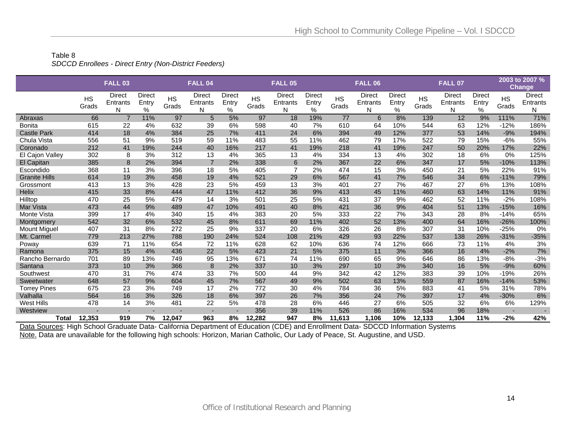#### Table 8 *SDCCD Enrollees - Direct Entry (Non-District Feeders)*

|                      |                    | <b>FALL 03</b>          |                                |                    | <b>FALL 04</b>          |                                |                    | <b>FALL 05</b>                 |                             |                    | <b>FALL 06</b>                 |                                |                    | <b>FALL 07</b>                 |                      |                    | 2003 to 2007 %<br>Change       |
|----------------------|--------------------|-------------------------|--------------------------------|--------------------|-------------------------|--------------------------------|--------------------|--------------------------------|-----------------------------|--------------------|--------------------------------|--------------------------------|--------------------|--------------------------------|----------------------|--------------------|--------------------------------|
|                      | <b>HS</b><br>Grads | Direct<br>Entrants<br>N | <b>Direct</b><br>Entry<br>$\%$ | <b>HS</b><br>Grads | Direct<br>Entrants<br>N | <b>Direct</b><br>Entry<br>$\%$ | <b>HS</b><br>Grads | <b>Direct</b><br>Entrants<br>N | <b>Direct</b><br>Entry<br>% | <b>HS</b><br>Grads | <b>Direct</b><br>Entrants<br>N | <b>Direct</b><br>Entry<br>$\%$ | <b>HS</b><br>Grads | <b>Direct</b><br>Entrants<br>N | Direct<br>Entry<br>% | <b>HS</b><br>Grads | <b>Direct</b><br>Entrants<br>N |
| Abraxas              | 66                 | $\overline{7}$          | 11%                            | 97                 | 5                       | 5%                             | 97                 | 18                             | 19%                         | 77                 | 6                              | 8%                             | 139                | 12                             | 9%                   | 111%               | 71%                            |
| <b>Bonita</b>        | 615                | 22                      | 4%                             | 632                | 39                      | 6%                             | 598                | 40                             | 7%                          | 610                | 64                             | 10%                            | 544                | 63                             | 12%                  | $-12%$             | 186%                           |
| <b>Castle Park</b>   | 414                | 18                      | 4%                             | 384                | 25                      | 7%                             | 411                | 24                             | 6%                          | 394                | 49                             | 12%                            | 377                | 53                             | 14%                  | $-9%$              | 194%                           |
| Chula Vista          | 556                | 51                      | 9%                             | 519                | 59                      | 11%                            | 483                | 55                             | 11%                         | 462                | 79                             | 17%                            | 522                | 79                             | 15%                  | $-6%$              | 55%                            |
| Coronado             | 212                | 41                      | 19%                            | 244                | 40                      | 16%                            | 217                | 41                             | 19%                         | 218                | 41                             | 19%                            | 247                | 50                             | 20%                  | 17%                | 22%                            |
| El Cajon Valley      | 302                | 8                       | 3%                             | 312                | 13                      | 4%                             | 365                | 13                             | 4%                          | 334                | 13                             | 4%                             | 302                | 18                             | 6%                   | 0%                 | 125%                           |
| El Capitan           | 385                | 8                       | 2%                             | 394                | $\overline{7}$          | 2%                             | 338                | 6                              | 2%                          | 367                | 22                             | 6%                             | 347                | 17                             | 5%                   | $-10%$             | 113%                           |
| Escondido            | 368                | 11                      | 3%                             | 396                | 18                      | 5%                             | 405                | $\overline{7}$                 | 2%                          | 474                | 15                             | 3%                             | 450                | 21                             | 5%                   | 22%                | 91%                            |
| <b>Granite Hills</b> | 614                | 19                      | 3%                             | 458                | 19                      | 4%                             | 521                | 29                             | 6%                          | 567                | 41                             | 7%                             | 546                | 34                             | 6%                   | $-11%$             | 79%                            |
| Grossmont            | 413                | 13                      | 3%                             | 428                | 23                      | 5%                             | 459                | 13                             | 3%                          | 401                | 27                             | 7%                             | 467                | 27                             | 6%                   | 13%                | 108%                           |
| <b>Helix</b>         | 415                | 33                      | 8%                             | 444                | 47                      | 11%                            | 412                | 36                             | 9%                          | 413                | 45                             | 11%                            | 460                | 63                             | 14%                  | 11%                | 91%                            |
| Hilltop              | 470                | 25                      | 5%                             | 479                | 14                      | 3%                             | 501                | 25                             | 5%                          | 431                | 37                             | 9%                             | 462                | 52                             | 11%                  | $-2%$              | 108%                           |
| Mar Vista            | 473                | 44                      | 9%                             | 489                | 47                      | 10%                            | 491                | 40                             | 8%                          | 421                | 36                             | 9%                             | 404                | 51                             | 13%                  | $-15%$             | 16%                            |
| Monte Vista          | 399                | 17                      | 4%                             | 340                | 15                      | 4%                             | 383                | 20                             | 5%                          | 333                | 22                             | 7%                             | 343                | 28                             | 8%                   | $-14%$             | 65%                            |
| Montgomery           | 542                | 32                      | 6%                             | 532                | 45                      | 8%                             | 611                | 69                             | 11%                         | 402                | 52                             | 13%                            | 400                | 64                             | 16%                  | $-26%$             | 100%                           |
| <b>Mount Miguel</b>  | 407                | 31                      | 8%                             | 272                | 25                      | 9%                             | 337                | 20                             | 6%                          | 326                | 26                             | 8%                             | 307                | 31                             | 10%                  | $-25%$             | 0%                             |
| Mt. Carmel           | 779                | 213                     | 27%                            | 788                | 190                     | 24%                            | 524                | 108                            | 21%                         | 429                | 93                             | 22%                            | 537                | 138                            | 26%                  | $-31%$             | $-35%$                         |
| Poway                | 639                | 71                      | 11%                            | 654                | 72                      | 11%                            | 628                | 62                             | 10%                         | 636                | 74                             | 12%                            | 666                | 73                             | 11%                  | 4%                 | 3%                             |
| Ramona               | 375                | 15                      | 4%                             | 436                | 22                      | 5%                             | 423                | 21                             | 5%                          | 375                | 11                             | 3%                             | 366                | 16                             | 4%                   | $-2%$              | 7%                             |
| Rancho Bernardo      | 701                | 89                      | 13%                            | 749                | 95                      | 13%                            | 671                | 74                             | 11%                         | 690                | 65                             | 9%                             | 646                | 86                             | 13%                  | $-8%$              | $-3%$                          |
| Santana              | 373                | 10                      | 3%                             | 366                | 8                       | 2%                             | 337                | 10                             | 3%                          | 297                | 10                             | 3%                             | 340                | 16                             | 5%                   | $-9%$              | 60%                            |
| Southwest            | 470                | 31                      | 7%                             | 474                | 33                      | 7%                             | 500                | 44                             | 9%                          | 342                | 42                             | 12%                            | 383                | 39                             | 10%                  | $-19%$             | 26%                            |
| Sweetwater           | 648                | 57                      | 9%                             | 604                | 45                      | 7%                             | 567                | 49                             | 9%                          | 502                | 63                             | 13%                            | 559                | 87                             | 16%                  | $-14%$             | 53%                            |
| <b>Torrey Pines</b>  | 675                | 23                      | 3%                             | 749                | 17                      | 2%                             | 772                | 30                             | 4%                          | 784                | 36                             | 5%                             | 883                | 41                             | 5%                   | 31%                | 78%                            |
| Valhalla             | 564                | 16                      | 3%                             | 326                | 18                      | 6%                             | 397                | 26                             | 7%                          | 356                | 24                             | 7%                             | 397                | 17                             | 4%                   | $-30%$             | 6%                             |
| West Hills           | 478                | 14                      | 3%                             | 481                | 22                      | 5%                             | 478                | 28                             | 6%                          | 446                | 27                             | 6%                             | 505                | 32                             | 6%                   | 6%                 | 129%                           |
| Westview             |                    |                         |                                |                    | ٠                       | ۰                              | 356                | 39                             | 11%                         | 526                | 86                             | 16%                            | 534                | 96                             | 18%                  | $\sim$             |                                |
| <b>Total</b>         | 12,353             | 919                     | 7%                             | 12,047             | 963                     | 8%                             | 12.282             | 947                            | 8%                          | 11,613             | 1.106                          | 10%                            | 12,133             | 1.304                          | 11%                  | $-2%$              | 42%                            |

Data Sources: High School Graduate Data- California Department of Education (CDE) and Enrollment Data- SDCCD Information Systems Note. Data are unavailable for the following high schools: Horizon, Marian Catholic, Our Lady of Peace, St. Augustine, and USD.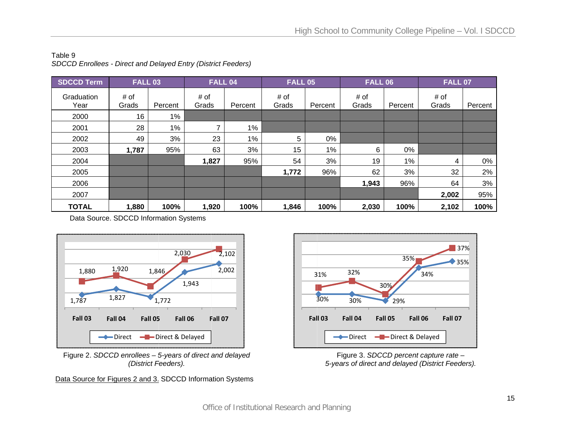| <b>SDCCD Term</b>  | <b>FALL 03</b> |         | FALL 04       |         | <b>FALL 05</b> |         | <b>FALL 06</b> |         | <b>FALL 07</b> |         |
|--------------------|----------------|---------|---------------|---------|----------------|---------|----------------|---------|----------------|---------|
| Graduation<br>Year | # of<br>Grads  | Percent | # of<br>Grads | Percent | # of<br>Grads  | Percent | # of<br>Grads  | Percent | # of<br>Grads  | Percent |
| 2000               | 16             | $1\%$   |               |         |                |         |                |         |                |         |
| 2001               | 28             | 1%      | ⇁             | 1%      |                |         |                |         |                |         |
| 2002               | 49             | 3%      | 23            | $1\%$   | 5              | 0%      |                |         |                |         |
| 2003               | 1,787          | 95%     | 63            | 3%      | 15             | $1\%$   | 6              | 0%      |                |         |
| 2004               |                |         | 1,827         | 95%     | 54             | 3%      | 19             | $1\%$   | 4              | 0%      |
| 2005               |                |         |               |         | 1,772          | 96%     | 62             | 3%      | 32             | 2%      |
| 2006               |                |         |               |         |                |         | 1,943          | 96%     | 64             | 3%      |
| 2007               |                |         |               |         |                |         |                |         | 2,002          | 95%     |
| <b>TOTAL</b>       | 1,880          | 100%    | 1,920         | 100%    | 1,846          | 100%    | 2,030          | 100%    | 2,102          | 100%    |

Table 9 *S DCCD Enrollees s - Direct and De layed Entry (Distr rict Feeders)*



Figure 2. *SDC CCD enrollees – 5 5-years of direct a and delayed (District F Feeders).* 

Data Source for Figures 2 and 3. SDCCD Information Systems



Figure 3. *S SDCCD percent c capture rate – 5-years of dire ect and delayed (D District Feeders).*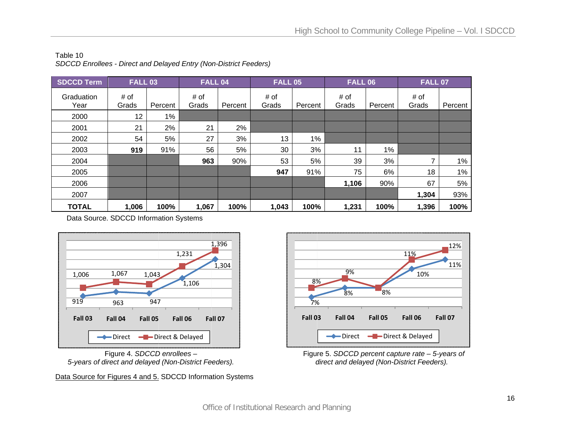| <b>SDCCD Term</b>  | <b>FALL 03</b> |         | <b>FALL 04</b> |         | <b>FALL 05</b> |         | <b>FALL 06</b> |         | <b>FALL 07</b> |         |
|--------------------|----------------|---------|----------------|---------|----------------|---------|----------------|---------|----------------|---------|
| Graduation<br>Year | # of<br>Grads  | Percent | # of<br>Grads  | Percent | # of<br>Grads  | Percent | # of<br>Grads  | Percent | # of<br>Grads  | Percent |
| 2000               | 12             | $1\%$   |                |         |                |         |                |         |                |         |
| 2001               | 21             | 2%      | 21             | 2%      |                |         |                |         |                |         |
| 2002               | 54             | 5%      | 27             | 3%      | 13             | 1%      |                |         |                |         |
| 2003               | 919            | 91%     | 56             | 5%      | 30             | 3%      | 11             | 1%      |                |         |
| 2004               |                |         | 963            | 90%     | 53             | 5%      | 39             | 3%      | 7              | $1\%$   |
| 2005               |                |         |                |         | 947            | 91%     | 75             | 6%      | 18             | $1\%$   |
| 2006               |                |         |                |         |                |         | 1,106          | 90%     | 67             | 5%      |
| 2007               |                |         |                |         |                |         |                |         | 1,304          | 93%     |
| <b>TOTAL</b>       | 1,006          | 100%    | 1,067          | 100%    | 1,043          | 100%    | 1,231          | 100%    | 1,396          | 100%    |

Table 10 *SDCCD Enrollee es - Direct and D elayed Entry (No on-District Feeder rs)*



F Figure 4. *SDCCD D enrollees – 5-years of di direct and delayed d (Non-District Fe eeders).* 

Data Source for Figures 4 and 5. SDCCD Information Systems



Figure 5. SDCCD percent capture rate – 5-years of *d direct and delaye d (Non-District Fe eeders).*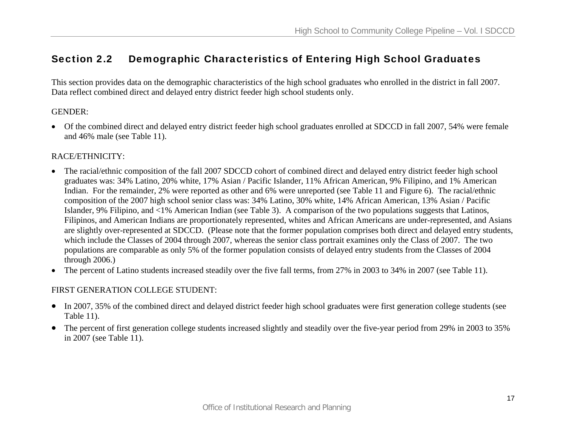### Section 2.2 Demographic Characteristics of Entering High School Graduates

This section provides data on the demographic characteristics of the high school graduates who enrolled in the district in fall 2007. Data reflect combined direct and delayed entry district feeder high school students only.

### GENDER:

• Of the combined direct and delayed entry district feeder high school graduates enrolled at SDCCD in fall 2007, 54% were female and 46% male (see Table 11).

### RACE/ETHNICITY:

- The racial/ethnic composition of the fall 2007 SDCCD cohort of combined direct and delayed entry district feeder high school graduates was: 34% Latino, 20% white, 17% Asian / Pacific Islander, 11% African American, 9% Filipino, and 1% American Indian. For the remainder, 2% were reported as other and 6% were unreported (see Table 11 and Figure 6). The racial/ethnic composition of the 2007 high school senior class was: 34% Latino, 30% white, 14% African American, 13% Asian / Pacific Islander, 9% Filipino, and <1% American Indian (see Table 3). A comparison of the two populations suggests that Latinos, Filipinos, and American Indians are proportionately represented, whites and African Americans are under-represented, and Asians are slightly over-represented at SDCCD. (Please note that the former population comprises both direct and delayed entry students, which include the Classes of 2004 through 2007, whereas the senior class portrait examines only the Class of 2007. The two populations are comparable as only 5% of the former population consists of delayed entry students from the Classes of 2004 through 2006.)
- $\bullet$ The percent of Latino students increased steadily over the five fall terms, from 27% in 2003 to 34% in 2007 (see Table 11).

### FIRST GENERATION COLLEGE STUDENT:

- In 2007, 35% of the combined direct and delayed district feeder high school graduates were first generation college students (see Table 11).
- The percent of first generation college students increased slightly and steadily over the five-year period from 29% in 2003 to 35% in 2007 (see Table 11).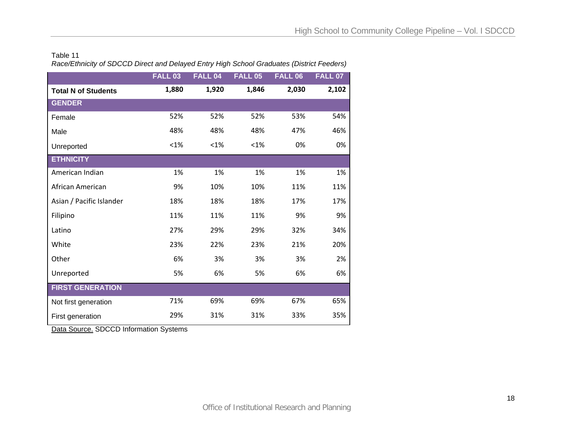#### Table 11 *Race/Ethnicity of SDCCD Direct and Delayed Entry High School Graduates (District Feeders)*

|                            | <b>FALL 03</b> | <b>FALL 04</b> | <b>FALL 05</b> | <b>FALL 06</b> | <b>FALL 07</b> |
|----------------------------|----------------|----------------|----------------|----------------|----------------|
| <b>Total N of Students</b> | 1,880          | 1,920          | 1,846          | 2,030          | 2,102          |
| <b>GENDER</b>              |                |                |                |                |                |
| Female                     | 52%            | 52%            | 52%            | 53%            | 54%            |
| Male                       | 48%            | 48%            | 48%            | 47%            | 46%            |
| Unreported                 | $< 1\%$        | $< 1\%$        | $< 1\%$        | 0%             | 0%             |
| <b>ETHNICITY</b>           |                |                |                |                |                |
| American Indian            | 1%             | 1%             | 1%             | 1%             | 1%             |
| African American           | 9%             | 10%            | 10%            | 11%            | 11%            |
| Asian / Pacific Islander   | 18%            | 18%            | 18%            | 17%            | 17%            |
| Filipino                   | 11%            | 11%            | 11%            | 9%             | 9%             |
| Latino                     | 27%            | 29%            | 29%            | 32%            | 34%            |
| White                      | 23%            | 22%            | 23%            | 21%            | 20%            |
| Other                      | 6%             | 3%             | 3%             | 3%             | 2%             |
| Unreported                 | 5%             | 6%             | 5%             | 6%             | 6%             |
| <b>FIRST GENERATION</b>    |                |                |                |                |                |
| Not first generation       | 71%            | 69%            | 69%            | 67%            | 65%            |
| First generation           | 29%            | 31%            | 31%            | 33%            | 35%            |

Data Source. SDCCD Information Systems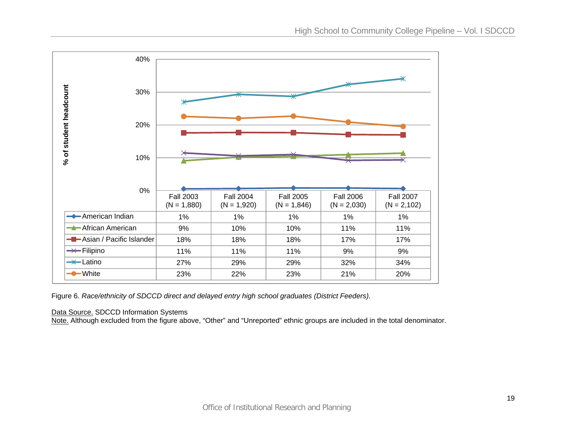

Figure 6. *Race/ethnicity of SDCCD direct and delayed entry high school graduates (District Feeders).*

Data Source. SDCCD Information Systems

Note. Although excluded from the figure above, "Other" and "Unreported" ethnic groups are included in the total denominator.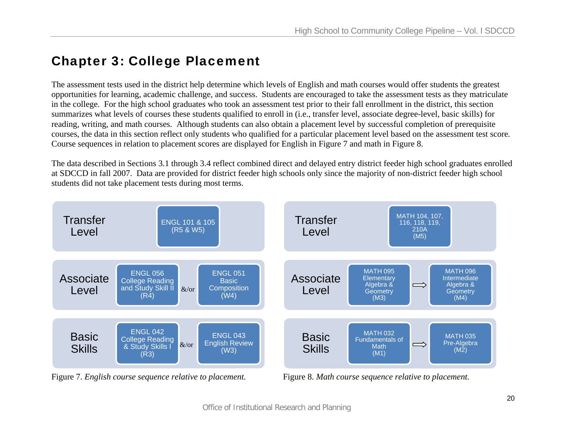# Chapter 3: College Placement

The assessment tests used in the district help determine which levels of English and math courses would offer students the greatest opportunities for learning, academic challenge, and success. Students are encouraged to take the assessment tests as they matriculate in the college. For the high school graduates who took an assessment test prior to their fall enrollment in the district, this section summarizes what levels of courses these students qualified to enroll in (i.e., transfer level, associate degree-level, basic skills) for reading, writing, and math courses. Although students can also obtain a placement level by successful completion of prerequisite courses, the data in this section reflect only students who qualified for a particular placement level based on the assessment test score*.* Course sequences in relation to placement scores are displayed for English in Figure 7 and math in Figure 8.

The data described in Sections 3.1 through 3.4 reflect combined direct and delayed entry district feeder high school graduates enrolled at SDCCD in fall 2007. Data are provided for district feeder high schools only since the majority of non-district feeder high school students did not take placement tests during most terms.



Figure 7. *English course sequence relative to placement.* Figure 8. *Math course sequence relative to placement.*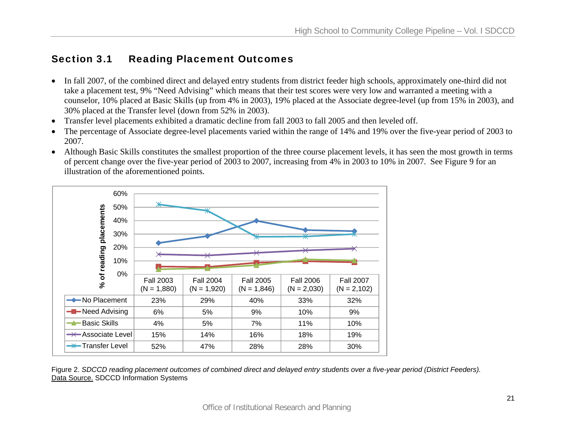# Section 3.1 Reading Placement Outcomes

- In fall 2007, of the combined direct and delayed entry students from district feeder high schools, approximately one-third did not take a placement test, 9% "Need Advising" which means that their test scores were very low and warranted a meeting with a counselor, 10% placed at Basic Skills (up from 4% in 2003), 19% placed at the Associate degree-level (up from 15% in 2003), and 30% placed at the Transfer level (down from 52% in 2003).
- •Transfer level placements exhibited a dramatic decline from fall 2003 to fall 2005 and then leveled off.
- • The percentage of Associate degree-level placements varied within the range of 14% and 19% over the five-year period of 2003 to 2007.
- Although Basic Skills constitutes the smallest proportion of the three course placement levels, it has seen the most growth in terms of percent change over the five-year period of 2003 to 2007, increasing from 4% in 2003 to 10% in 2007. See Figure 9 for an illustration of the aforementioned points.



Figure 2. *SDCCD reading placement outcomes of combined direct and delayed entry students over a five-year period (District Feeders).*  Data Source. SDCCD Information Systems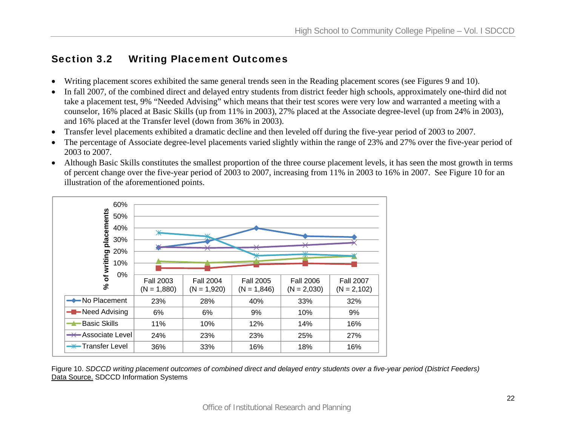# Section 3.2 Writing Placement Outcomes

- •Writing placement scores exhibited the same general trends seen in the Reading placement scores (see Figures 9 and 10).
- • In fall 2007, of the combined direct and delayed entry students from district feeder high schools, approximately one-third did not take a placement test, 9% "Needed Advising" which means that their test scores were very low and warranted a meeting with a counselor, 16% placed at Basic Skills (up from 11% in 2003), 27% placed at the Associate degree-level (up from 24% in 2003), and 16% placed at the Transfer level (down from 36% in 2003).
- $\bullet$ Transfer level placements exhibited a dramatic decline and then leveled off during the five-year period of 2003 to 2007.
- • The percentage of Associate degree-level placements varied slightly within the range of 23% and 27% over the five-year period of 2003 to 2007.
- Although Basic Skills constitutes the smallest proportion of the three course placement levels, it has seen the most growth in terms of percent change over the five-year period of 2003 to 2007, increasing from 11% in 2003 to 16% in 2007. See Figure 10 for an illustration of the aforementioned points.



Figure 10. *SDCCD writing placement outcomes of combined direct and delayed entry students over a five-year period (District Feeders)*  Data Source. SDCCD Information Systems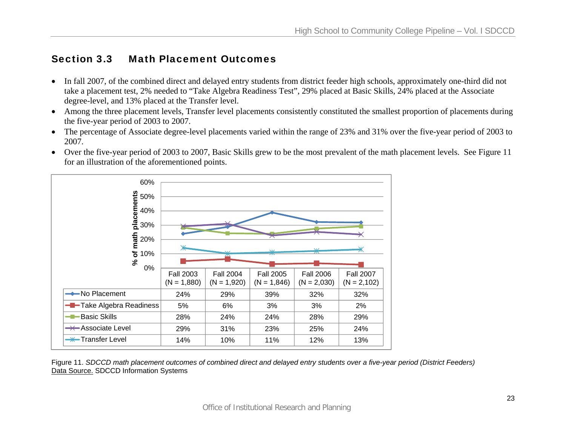### Section 3.3 Math Placement Outcomes

- In fall 2007, of the combined direct and delayed entry students from district feeder high schools, approximately one-third did not take a placement test, 2% needed to "Take Algebra Readiness Test", 29% placed at Basic Skills, 24% placed at the Associate degree-level, and 13% placed at the Transfer level.
- Among the three placement levels, Transfer level placements consistently constituted the smallest proportion of placements during the five-year period of 2003 to 2007.
- The percentage of Associate degree-level placements varied within the range of 23% and 31% over the five-year period of 2003 to 2007.
- Over the five-year period of 2003 to 2007, Basic Skills grew to be the most prevalent of the math placement levels. See Figure 11 for an illustration of the aforementioned points.



Figure 11. *SDCCD math placement outcomes of combined direct and delayed entry students over a five-year period (District Feeders)*  Data Source. SDCCD Information Systems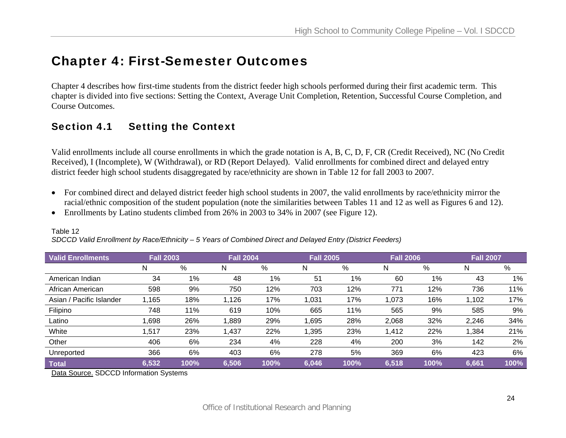# Chapter 4: First-Semester Outcomes

Chapter 4 describes how first-time students from the district feeder high schools performed during their first academic term. This chapter is divided into five sections: Setting the Context, Average Unit Completion, Retention, Successful Course Completion, and Course Outcomes.

# Section 4.1 Setting the Context

Valid enrollments include all course enrollments in which the grade notation is A, B, C, D, F, CR (Credit Received), NC (No Credit Received), I (Incomplete), W (Withdrawal), or RD (Report Delayed). Valid enrollments for combined direct and delayed entry district feeder high school students disaggregated by race/ethnicity are shown in Table 12 for fall 2003 to 2007.

- For combined direct and delayed district feeder high school students in 2007, the valid enrollments by race/ethnicity mirror the racial/ethnic composition of the student population (note the similarities between Tables 11 and 12 as well as Figures 6 and 12).
- Enrollments by Latino students climbed from 26% in 2003 to 34% in 2007 (see Figure 12).

| <b>Valid Enrollments</b> | <b>Fall 2003</b> |      | <b>Fall 2004</b> |      | <b>Fall 2005</b> |      | <b>Fall 2006</b> |      | <b>Fall 2007</b> |       |  |
|--------------------------|------------------|------|------------------|------|------------------|------|------------------|------|------------------|-------|--|
|                          | N                | %    | N                | %    | N                | %    | N                | %    | N                | %     |  |
| American Indian          | 34               | 1%   | 48               | 1%   | 51               | 1%   | 60               | 1%   | 43               | $1\%$ |  |
| African American         | 598              | 9%   | 750              | 12%  | 703              | 12%  | 771              | 12%  | 736              | 11%   |  |
| Asian / Pacific Islander | ,165             | 18%  | 1,126            | 17%  | 1,031            | 17%  | 1,073            | 16%  | 1,102            | 17%   |  |
| Filipino                 | 748              | 11%  | 619              | 10%  | 665              | 11%  | 565              | 9%   | 585              | 9%    |  |
| Latino                   | ,698             | 26%  | 1,889            | 29%  | 1,695            | 28%  | 2,068            | 32%  | 2,246            | 34%   |  |
| White                    | .517             | 23%  | 1,437            | 22%  | 1,395            | 23%  | 1,412            | 22%  | 1,384            | 21%   |  |
| Other                    | 406              | 6%   | 234              | 4%   | 228              | 4%   | 200              | 3%   | 142              | 2%    |  |
| Unreported               | 366              | 6%   | 403              | 6%   | 278              | 5%   | 369              | 6%   | 423              | 6%    |  |
| <b>Total</b>             | 6,532            | 100% | 6,506            | 100% | 6,046            | 100% | 6,518            | 100% | 6,661            | 100%  |  |

### Table 12

*SDCCD Valid Enrollment by Race/Ethnicity – 5 Years of Combined Direct and Delayed Entry (District Feeders)* 

Data Source. SDCCD Information Systems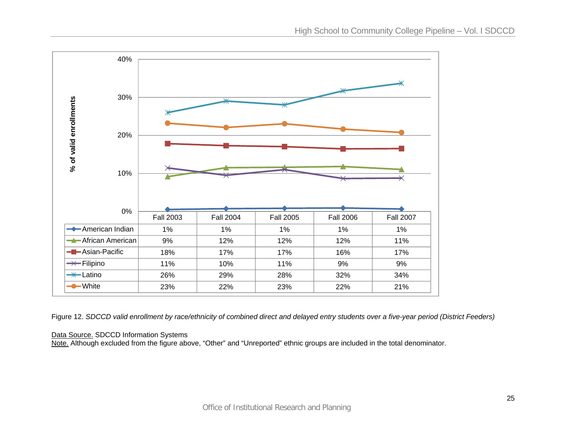

Figure 12. *SDCCD valid enrollment by race/ethnicity of combined direct and delayed entry students over a five-year period (District Feeders)*

### Data Source. SDCCD Information Systems

Note. Although excluded from the figure above, "Other" and "Unreported" ethnic groups are included in the total denominator.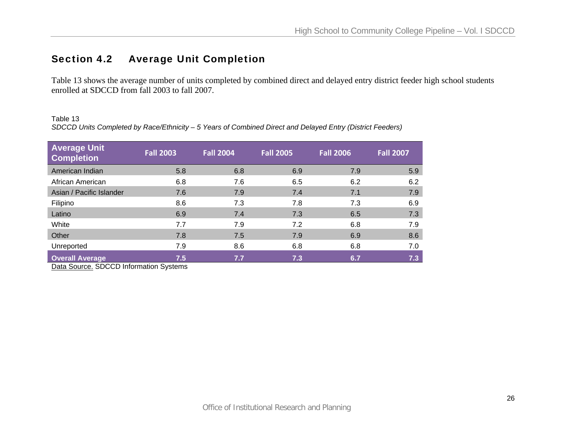# Section 4.2 Average Unit Completion

Table 13 shows the average number of units completed by combined direct and delayed entry district feeder high school students enrolled at SDCCD from fall 2003 to fall 2007.

Table 13

*SDCCD Units Completed by Race/Ethnicity – 5 Years of Combined Direct and Delayed Entry (District Feeders)* 

| <b>Average Unit</b><br><b>Completion</b> | <b>Fall 2003</b> | <b>Fall 2004</b> | <b>Fall 2005</b> | <b>Fall 2006</b> | <b>Fall 2007</b> |
|------------------------------------------|------------------|------------------|------------------|------------------|------------------|
| American Indian                          | 5.8              | 6.8              | 6.9              | 7.9              | 5.9              |
| African American                         | 6.8              | 7.6              | 6.5              | 6.2              | 6.2              |
| Asian / Pacific Islander                 | 7.6              | 7.9              | 7.4              | 7.1              | 7.9              |
| Filipino                                 | 8.6              | 7.3              | 7.8              | 7.3              | 6.9              |
| Latino                                   | 6.9              | 7.4              | 7.3              | 6.5              | 7.3              |
| White                                    | 7.7              | 7.9              | 7.2              | 6.8              | 7.9              |
| Other                                    | 7.8              | 7.5              | 7.9              | 6.9              | 8.6              |
| Unreported                               | 7.9              | 8.6              | 6.8              | 6.8              | 7.0              |
| <b>Overall Average</b>                   | 7.5              | 7.7              | 7.3              | 6.7              | 7.3              |

Data Source. SDCCD Information Systems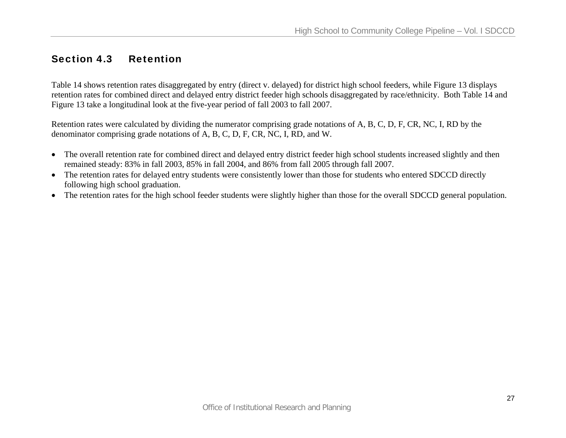### Section 4.3 Retention

Table 14 shows retention rates disaggregated by entry (direct v. delayed) for district high school feeders, while Figure 13 displays retention rates for combined direct and delayed entry district feeder high schools disaggregated by race/ethnicity. Both Table 14 and Figure 13 take a longitudinal look at the five-year period of fall 2003 to fall 2007.

Retention rates were calculated by dividing the numerator comprising grade notations of A, B, C, D, F, CR, NC, I, RD by the denominator comprising grade notations of A, B, C, D, F, CR, NC, I, RD, and W.

- The overall retention rate for combined direct and delayed entry district feeder high school students increased slightly and then remained steady: 83% in fall 2003, 85% in fall 2004, and 86% from fall 2005 through fall 2007.
- The retention rates for delayed entry students were consistently lower than those for students who entered SDCCD directly following high school graduation.
- The retention rates for the high school feeder students were slightly higher than those for the overall SDCCD general population.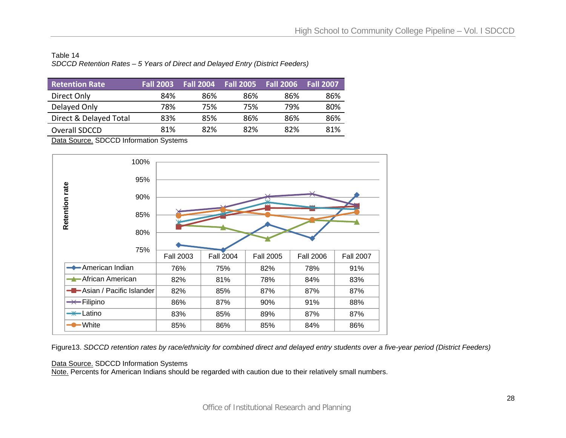### Table 14 *SDCCD Retention Rates – 5 Years of Direct and Delayed Entry (District Feeders)*

| <b>Retention Rate</b>  | <b>Fall 2003</b> | <b>Fall 2004</b> | <b>Fall 2005</b> | <b>Fall 2006</b> | <b>Fall 2007</b> |
|------------------------|------------------|------------------|------------------|------------------|------------------|
| Direct Only            | 84%              | 86%              | 86%              | 86%              | 86%              |
| Delayed Only           | 78%              | 75%              | 75%              | 79%              | 80%              |
| Direct & Delayed Total | 83%              | 85%              | 86%              | 86%              | 86%              |
| Overall SDCCD          | 81%              | 82%              | 82%              | 82%              | 81%              |

Data Source. SDCCD Information Systems



Figure13. *SDCCD retention rates by race/ethnicity for combined direct and delayed entry students over a five-year period (District Feeders)* 

#### Data Source. SDCCD Information Systems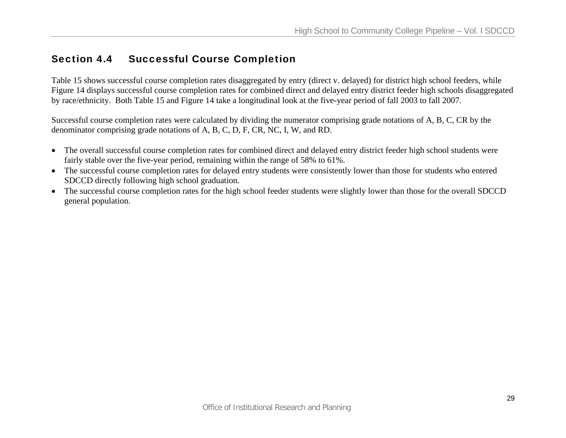### Section 4.4 Successful Course Completion

Table 15 shows successful course completion rates disaggregated by entry (direct v. delayed) for district high school feeders, while Figure 14 displays successful course completion rates for combined direct and delayed entry district feeder high schools disaggregated by race/ethnicity. Both Table 15 and Figure 14 take a longitudinal look at the five-year period of fall 2003 to fall 2007.

Successful course completion rates were calculated by dividing the numerator comprising grade notations of A, B, C, CR by the denominator comprising grade notations of A, B, C, D, F, CR, NC, I, W, and RD.

- The overall successful course completion rates for combined direct and delayed entry district feeder high school students were fairly stable over the five-year period, remaining within the range of 58% to 61%.
- The successful course completion rates for delayed entry students were consistently lower than those for students who entered SDCCD directly following high school graduation.
- The successful course completion rates for the high school feeder students were slightly lower than those for the overall SDCCD general population.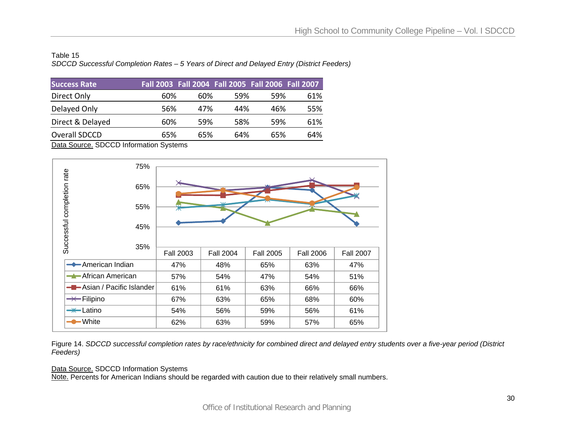### Table 15 *SDCCD Successful Completion Rates – 5 Years of Direct and Delayed Entry (District Feeders)*

| <b>Success Rate</b> | Fall 2003 Fall 2004 Fall 2005 Fall 2006 Fall 2007 |     |      |      |     |
|---------------------|---------------------------------------------------|-----|------|------|-----|
| Direct Only         | 60%                                               | 60% | .59% | .59% | 61% |
| Delayed Only        | 56%                                               | 47% | 44%  | 46%  | 55% |
| Direct & Delayed    | 60%                                               | 59% | 58%  | .59% | 61% |
| Overall SDCCD       | 65%                                               | 65% | 64%  | 65%  | 64% |

Data Source. SDCCD Information Systems



Figure 14. *SDCCD successful completion rates by race/ethnicity for combined direct and delayed entry students over a five-year period (District Feeders)* 

#### Data Source. SDCCD Information Systems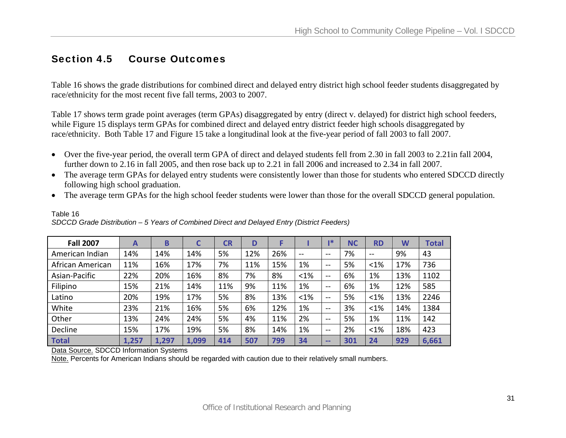### Section 4.5 Course Outcomes

Table 16 shows the grade distributions for combined direct and delayed entry district high school feeder students disaggregated by race/ethnicity for the most recent five fall terms, 2003 to 2007.

Table 17 shows term grade point averages (term GPAs) disaggregated by entry (direct v. delayed) for district high school feeders, while Figure 15 displays term GPAs for combined direct and delayed entry district feeder high schools disaggregated by race/ethnicity. Both Table 17 and Figure 15 take a longitudinal look at the five-year period of fall 2003 to fall 2007.

- Over the five-year period, the overall term GPA of direct and delayed students fell from 2.30 in fall 2003 to 2.21in fall 2004, further down to 2.16 in fall 2005, and then rose back up to 2.21 in fall 2006 and increased to 2.34 in fall 2007.
- The average term GPAs for delayed entry students were consistently lower than those for students who entered SDCCD directly following high school graduation.
- The average term GPAs for the high school feeder students were lower than those for the overall SDCCD general population.

| <b>Fall 2007</b> | А     | Β     |       | <b>CR</b> | D   |     |         | ı*            | ΝC  | <b>RD</b> | W   | Total |
|------------------|-------|-------|-------|-----------|-----|-----|---------|---------------|-----|-----------|-----|-------|
| American Indian  | 14%   | 14%   | 14%   | 5%        | 12% | 26% | $- -$   | $\sim$ $\sim$ | 7%  | $- -$     | 9%  | 43    |
| African American | 11%   | 16%   | 17%   | 7%        | 11% | 15% | 1%      | $- -$         | 5%  | $< 1\%$   | 17% | 736   |
| Asian-Pacific    | 22%   | 20%   | 16%   | 8%        | 7%  | 8%  | $< 1\%$ | $-$           | 6%  | 1%        | 13% | 1102  |
| Filipino         | 15%   | 21%   | 14%   | 11%       | 9%  | 11% | 1%      | $\sim$ $\sim$ | 6%  | 1%        | 12% | 585   |
| Latino           | 20%   | 19%   | 17%   | 5%        | 8%  | 13% | $< 1\%$ | $\sim$ $\sim$ | 5%  | $< 1\%$   | 13% | 2246  |
| White            | 23%   | 21%   | 16%   | 5%        | 6%  | 12% | 1%      | $\sim$ $\sim$ | 3%  | < 1%      | 14% | 1384  |
| Other            | 13%   | 24%   | 24%   | 5%        | 4%  | 11% | 2%      | $- -$         | 5%  | 1%        | 11% | 142   |
| Decline          | 15%   | 17%   | 19%   | 5%        | 8%  | 14% | 1%      | $\sim$ $\sim$ | 2%  | $< 1\%$   | 18% | 423   |
| Total            | 1,257 | 1,297 | 1,099 | 414       | 507 | 799 | 34      | $\sim$ $\sim$ | 301 | 24        | 929 | 6,661 |

*SDCCD Grade Distribution – 5 Years of Combined Direct and Delayed Entry (District Feeders)* 

Data Source. SDCCD Information Systems

Table 16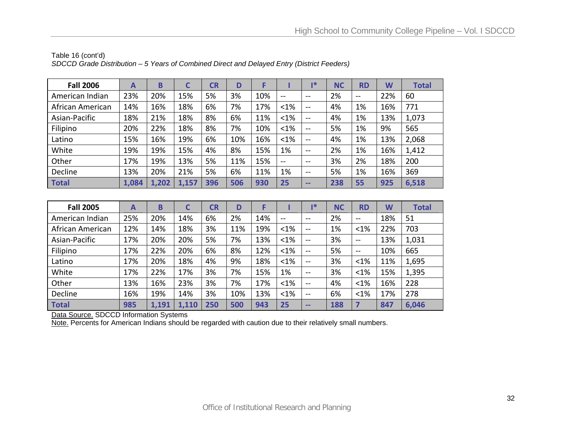| <b>Fall 2006</b> | А     | B     | C     | CR  | D   |     |         | 1*            | <b>NC</b> | <b>RD</b>     | W   | <b>Total</b> |
|------------------|-------|-------|-------|-----|-----|-----|---------|---------------|-----------|---------------|-----|--------------|
| American Indian  | 23%   | 20%   | 15%   | 5%  | 3%  | 10% | $- -$   | $- -$         | 2%        | $\sim$ $\sim$ | 22% | 60           |
| African American | 14%   | 16%   | 18%   | 6%  | 7%  | 17% | $< 1\%$ | $\sim$ $\sim$ | 4%        | 1%            | 16% | 771          |
| Asian-Pacific    | 18%   | 21%   | 18%   | 8%  | 6%  | 11% | $< 1\%$ | $\sim$ $\sim$ | 4%        | 1%            | 13% | 1,073        |
| Filipino         | 20%   | 22%   | 18%   | 8%  | 7%  | 10% | < 1%    | $\sim$ $\sim$ | 5%        | 1%            | 9%  | 565          |
| Latino           | 15%   | 16%   | 19%   | 6%  | 10% | 16% | $< 1\%$ | $\sim$ $\sim$ | 4%        | 1%            | 13% | 2,068        |
| White            | 19%   | 19%   | 15%   | 4%  | 8%  | 15% | 1%      | $\sim$ $\sim$ | 2%        | 1%            | 16% | 1,412        |
| Other            | 17%   | 19%   | 13%   | 5%  | 11% | 15% | $- -$   | $-1$          | 3%        | 2%            | 18% | 200          |
| Decline          | 13%   | 20%   | 21%   | 5%  | 6%  | 11% | 1%      | $\sim$ $\sim$ | 5%        | 1%            | 16% | 369          |
| <b>Total</b>     | 1,084 | 1,202 | 1,157 | 396 | 506 | 930 | 25      | --            | 238       | 55            | 925 | 6,518        |

Table 16 (cont'd) *SDCCD Grade Distribution – 5 Years of Combined Direct and Delayed Entry (District Feeders)* 

| <b>Fall 2005</b> | A   | B     | C     | CR  | D   |     |         | $\mathbf{R}^*$ | <b>NC</b> | <b>RD</b>     | W   | <b>Total</b> |
|------------------|-----|-------|-------|-----|-----|-----|---------|----------------|-----------|---------------|-----|--------------|
| American Indian  | 25% | 20%   | 14%   | 6%  | 2%  | 14% | $- -$   | $\sim$ $\sim$  | 2%        | $\sim$        | 18% | 51           |
| African American | 12% | 14%   | 18%   | 3%  | 11% | 19% | $< 1\%$ | $\sim$ $\sim$  | 1%        | $< 1\%$       | 22% | 703          |
| Asian-Pacific    | 17% | 20%   | 20%   | 5%  | 7%  | 13% | < 1%    | $\sim$ $\sim$  | 3%        | $\sim$        | 13% | 1,031        |
| Filipino         | 17% | 22%   | 20%   | 6%  | 8%  | 12% | < 1%    | $\sim$ $\sim$  | 5%        | $\sim$ $\sim$ | 10% | 665          |
| Latino           | 17% | 20%   | 18%   | 4%  | 9%  | 18% | $< 1\%$ | $\sim$ $\sim$  | 3%        | $< 1\%$       | 11% | 1,695        |
| White            | 17% | 22%   | 17%   | 3%  | 7%  | 15% | 1%      | $\sim$ $\sim$  | 3%        | $< 1\%$       | 15% | 1,395        |
| Other            | 13% | 16%   | 23%   | 3%  | 7%  | 17% | < 1%    | $\sim$ $\sim$  | 4%        | $< 1\%$       | 16% | 228          |
| Decline          | 16% | 19%   | 14%   | 3%  | 10% | 13% | $< 1\%$ | $\sim$ $\sim$  | 6%        | $< 1\%$       | 17% | 278          |
| <b>Total</b>     | 985 | 1,191 | 1,110 | 250 | 500 | 943 | 25      | --             | 188       | 7             | 847 | 6,046        |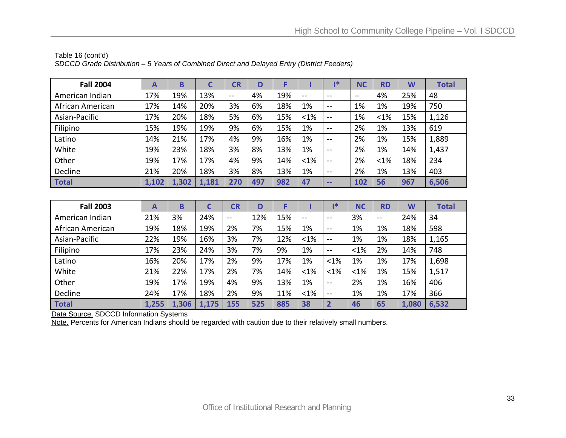| <b>Fall 2004</b> | $\mathsf{A}$ | B     | C     | CR    | D   |     |               | ∎∗                                             | <b>NC</b> | <b>RD</b> | W   | <b>Total</b> |
|------------------|--------------|-------|-------|-------|-----|-----|---------------|------------------------------------------------|-----------|-----------|-----|--------------|
| American Indian  | 17%          | 19%   | 13%   | $- -$ | 4%  | 19% | $\sim$ $\sim$ | $- -$                                          | $-$       | 4%        | 25% | 48           |
| African American | 17%          | 14%   | 20%   | 3%    | 6%  | 18% | 1%            | $\sim$ $\sim$                                  | 1%        | 1%        | 19% | 750          |
| Asian-Pacific    | 17%          | 20%   | 18%   | 5%    | 6%  | 15% | $< 1\%$       | --                                             | 1%        | $< 1\%$   | 15% | 1,126        |
| Filipino         | 15%          | 19%   | 19%   | 9%    | 6%  | 15% | 1%            | $\sim$ $\sim$                                  | 2%        | 1%        | 13% | 619          |
| Latino           | 14%          | 21%   | 17%   | 4%    | 9%  | 16% | 1%            | $\hspace{0.1mm}-\hspace{0.1mm}-\hspace{0.1mm}$ | 2%        | 1%        | 15% | 1,889        |
| White            | 19%          | 23%   | 18%   | 3%    | 8%  | 13% | 1%            | $- -$                                          | 2%        | 1%        | 14% | 1,437        |
| Other            | 19%          | 17%   | 17%   | 4%    | 9%  | 14% | $< 1\%$       | $\sim$ $\sim$                                  | 2%        | $< 1\%$   | 18% | 234          |
| Decline          | 21%          | 20%   | 18%   | 3%    | 8%  | 13% | 1%            | $\sim$ $\sim$                                  | 2%        | 1%        | 13% | 403          |
| Total            | 1,102        | 1,302 | 1,181 | 270   | 497 | 982 | 47            | $\sim$ $\sim$                                  | 102       | 56        | 967 | 6,506        |

Table 16 (cont'd) *SDCCD Grade Distribution – 5 Years of Combined Direct and Delayed Entry (District Feeders)* 

| <b>Fall 2003</b> | A     | B     | C     | <b>CR</b> | D   |     |               | 1*                      | <b>NC</b> | <b>RD</b>     | W     | <b>Total</b> |
|------------------|-------|-------|-------|-----------|-----|-----|---------------|-------------------------|-----------|---------------|-------|--------------|
| American Indian  | 21%   | 3%    | 24%   | $- -$     | 12% | 15% | $\sim$ $\sim$ | --                      | 3%        | $\sim$ $\sim$ | 24%   | 34           |
| African American | 19%   | 18%   | 19%   | 2%        | 7%  | 15% | 1%            | $- -$                   | 1%        | 1%            | 18%   | 598          |
| Asian-Pacific    | 22%   | 19%   | 16%   | 3%        | 7%  | 12% | $< 1\%$       | $\qquad \qquad \cdots$  | 1%        | 1%            | 18%   | 1,165        |
| Filipino         | 17%   | 23%   | 24%   | 3%        | 7%  | 9%  | 1%            | $- -$                   | $< 1\%$   | 2%            | 14%   | 748          |
| Latino           | 16%   | 20%   | 17%   | 2%        | 9%  | 17% | 1%            | < 1%                    | 1%        | 1%            | 17%   | 1,698        |
| White            | 21%   | 22%   | 17%   | 2%        | 7%  | 14% | $< 1\%$       | $< 1\%$                 | < 1%      | 1%            | 15%   | 1,517        |
| Other            | 19%   | 17%   | 19%   | 4%        | 9%  | 13% | 1%            | $- -$                   | 2%        | 1%            | 16%   | 406          |
| Decline          | 24%   | 17%   | 18%   | 2%        | 9%  | 11% | $< 1\%$       | --                      | 1%        | 1%            | 17%   | 366          |
| <b>Total</b>     | 1,255 | 1,306 | 1,175 | 155       | 525 | 885 | 38            | $\overline{\mathbf{2}}$ | 46        | 65            | 1,080 | 6,532        |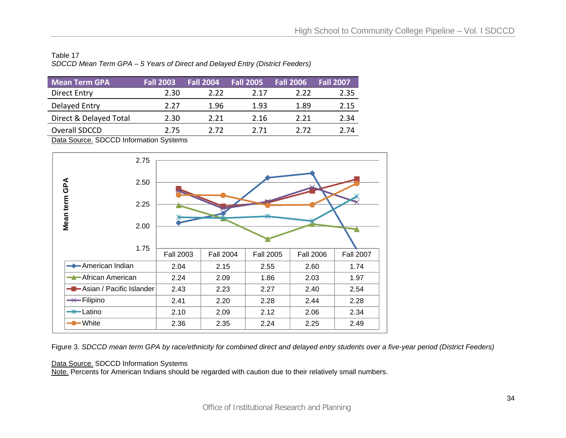| Table 17                                                                     |  |
|------------------------------------------------------------------------------|--|
| SDCCD Mean Term GPA – 5 Years of Direct and Delayed Entry (District Feeders) |  |

| <b>Mean Term GPA</b>   | <b>Fall 2003</b> | <b>Fall 2004</b> | <b>Fall 2005</b> | <b>Fall 2006</b> | <b>Fall 2007</b> |
|------------------------|------------------|------------------|------------------|------------------|------------------|
| Direct Entry           | 2.30             | 2.22             | 2 1 7            | 2.22             | 2.35             |
| Delayed Entry          | 2.27             | 1.96             | 1.93             | 1.89             | 2.15             |
| Direct & Delayed Total | 2.30             | 2.21             | 2.16             | 2.21             | 2.34             |
| Overall SDCCD          | 2.75             | 2 72             | 2 71             | 2 72             | 7 74             |



Figure 3. *SDCCD mean term GPA by race/ethnicity for combined direct and delayed entry students over a five-year period (District Feeders)*

Data Source. SDCCD Information Systems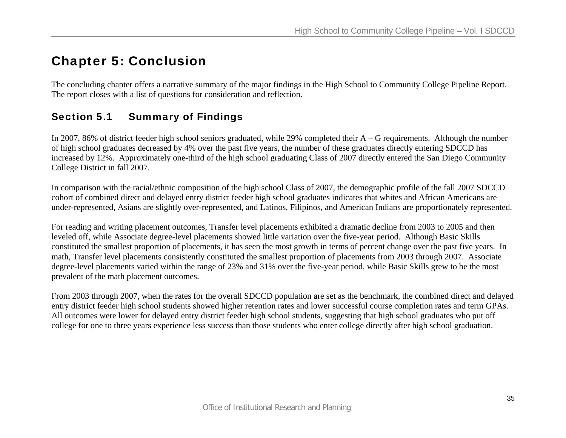# Chapter 5: Conclusion

The concluding chapter offers a narrative summary of the major findings in the High School to Community College Pipeline Report. The report closes with a list of questions for consideration and reflection.

# Section 5.1 Summary of Findings

In 2007, 86% of district feeder high school seniors graduated, while 29% completed their A – G requirements. Although the number of high school graduates decreased by 4% over the past five years, the number of these graduates directly entering SDCCD has increased by 12%. Approximately one-third of the high school graduating Class of 2007 directly entered the San Diego Community College District in fall 2007.

In comparison with the racial/ethnic composition of the high school Class of 2007, the demographic profile of the fall 2007 SDCCD cohort of combined direct and delayed entry district feeder high school graduates indicates that whites and African Americans are under-represented, Asians are slightly over-represented, and Latinos, Filipinos, and American Indians are proportionately represented.

For reading and writing placement outcomes, Transfer level placements exhibited a dramatic decline from 2003 to 2005 and then leveled off, while Associate degree-level placements showed little variation over the five-year period. Although Basic Skills constituted the smallest proportion of placements, it has seen the most growth in terms of percent change over the past five years. In math, Transfer level placements consistently constituted the smallest proportion of placements from 2003 through 2007. Associate degree-level placements varied within the range of 23% and 31% over the five-year period, while Basic Skills grew to be the most prevalent of the math placement outcomes.

From 2003 through 2007, when the rates for the overall SDCCD population are set as the benchmark, the combined direct and delayed entry district feeder high school students showed higher retention rates and lower successful course completion rates and term GPAs. All outcomes were lower for delayed entry district feeder high school students, suggesting that high school graduates who put off college for one to three years experience less success than those students who enter college directly after high school graduation.